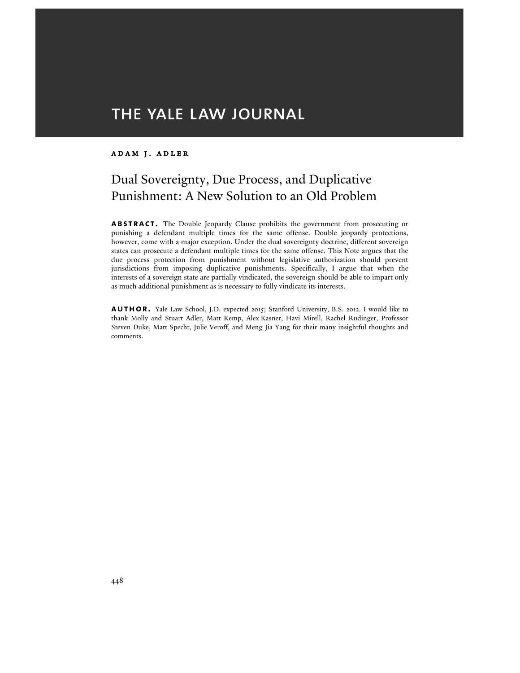# THE YALE LAW JOURNAL

## Adam j. Adler

## Dual Sovereignty, Due Process, and Duplicative Punishment: A New Solution to an Old Problem

**abstract.** The Double Jeopardy Clause prohibits the government from prosecuting or punishing a defendant multiple times for the same offense. Double jeopardy protections, however, come with a major exception. Under the dual sovereignty doctrine, different sovereign states can prosecute a defendant multiple times for the same offense. This Note argues that the due process protection from punishment without legislative authorization should prevent jurisdictions from imposing duplicative punishments. Specifically, I argue that when the interests of a sovereign state are partially vindicated, the sovereign should be able to impart only as much additional punishment as is necessary to fully vindicate its interests.

**author.** Yale Law School, J.D. expected 2015; Stanford University, B.S. 2012. I would like to thank Molly and Stuart Adler, Matt Kemp, Alex Kasner, Havi Mirell, Rachel Rudinger, Professor Steven Duke, Matt Specht, Julie Veroff, and Meng Jia Yang for their many insightful thoughts and comments.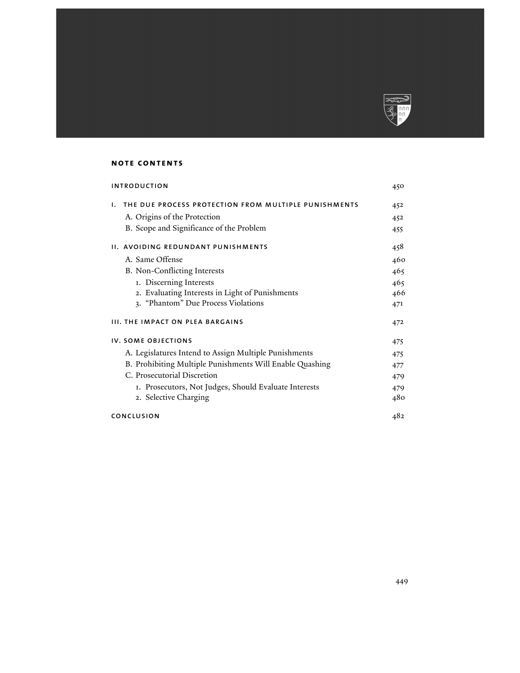

## **note contents**

| <b>INTRODUCTION</b>                                        | 450 |
|------------------------------------------------------------|-----|
| THE DUE PROCESS PROTECTION FROM MULTIPLE PUNISHMENTS<br>ı. | 452 |
| A. Origins of the Protection                               | 452 |
| B. Scope and Significance of the Problem                   | 455 |
| II. AVOIDING REDUNDANT PUNISHMENTS                         | 458 |
| A. Same Offense                                            | 460 |
| B. Non-Conflicting Interests                               | 465 |
| 1. Discerning Interests                                    | 465 |
| 2. Evaluating Interests in Light of Punishments            | 466 |
| 3. "Phantom" Due Process Violations                        | 471 |
| <b>III. THE IMPACT ON PLEA BARGAINS</b>                    | 472 |
| IV. SOME OBJECTIONS                                        | 475 |
| A. Legislatures Intend to Assign Multiple Punishments      | 475 |
| B. Prohibiting Multiple Punishments Will Enable Quashing   | 477 |
| C. Prosecutorial Discretion                                | 479 |
| 1. Prosecutors, Not Judges, Should Evaluate Interests      | 479 |
| 2. Selective Charging                                      | 480 |
| CONCLUSION                                                 | 482 |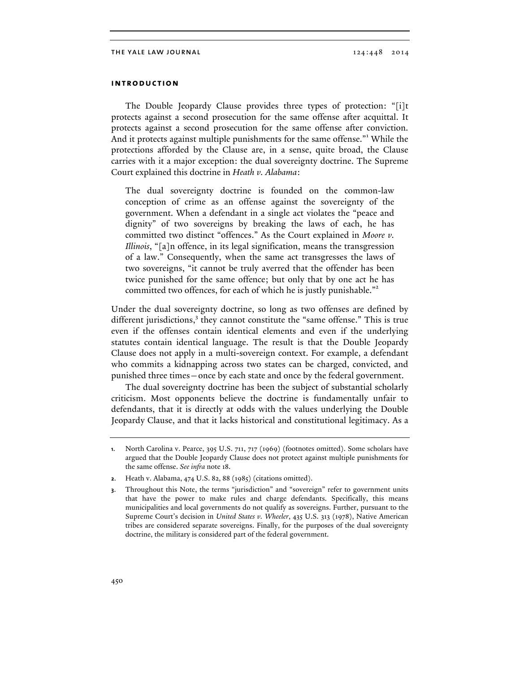## **introduction**

The Double Jeopardy Clause provides three types of protection: "[i]t protects against a second prosecution for the same offense after acquittal. It protects against a second prosecution for the same offense after conviction. And it protects against multiple punishments for the same offense."<sup>1</sup> While the protections afforded by the Clause are, in a sense, quite broad, the Clause carries with it a major exception: the dual sovereignty doctrine. The Supreme Court explained this doctrine in *Heath v. Alabama*:

The dual sovereignty doctrine is founded on the common-law conception of crime as an offense against the sovereignty of the government. When a defendant in a single act violates the "peace and dignity" of two sovereigns by breaking the laws of each, he has committed two distinct "offences." As the Court explained in *Moore v. Illinois*, "[a]n offence, in its legal signification, means the transgression of a law." Consequently, when the same act transgresses the laws of two sovereigns, "it cannot be truly averred that the offender has been twice punished for the same offence; but only that by one act he has committed two offences, for each of which he is justly punishable."<sup>2</sup>

Under the dual sovereignty doctrine, so long as two offenses are defined by different jurisdictions, $3$  they cannot constitute the "same offense." This is true even if the offenses contain identical elements and even if the underlying statutes contain identical language. The result is that the Double Jeopardy Clause does not apply in a multi-sovereign context. For example, a defendant who commits a kidnapping across two states can be charged, convicted, and punished three times—once by each state and once by the federal government.

The dual sovereignty doctrine has been the subject of substantial scholarly criticism. Most opponents believe the doctrine is fundamentally unfair to defendants, that it is directly at odds with the values underlying the Double Jeopardy Clause, and that it lacks historical and constitutional legitimacy. As a

**<sup>1</sup>**. North Carolina v. Pearce, 395 U.S. 711, 717 (1969) (footnotes omitted). Some scholars have argued that the Double Jeopardy Clause does not protect against multiple punishments for the same offense. *See infra* note 18.

**<sup>2</sup>**. Heath v. Alabama, 474 U.S. 82, 88 (1985) (citations omitted).

**<sup>3</sup>**. Throughout this Note, the terms "jurisdiction" and "sovereign" refer to government units that have the power to make rules and charge defendants. Specifically, this means municipalities and local governments do not qualify as sovereigns. Further, pursuant to the Supreme Court's decision in *United States v. Wheeler*, 435 U.S. 313 (1978), Native American tribes are considered separate sovereigns. Finally, for the purposes of the dual sovereignty doctrine, the military is considered part of the federal government.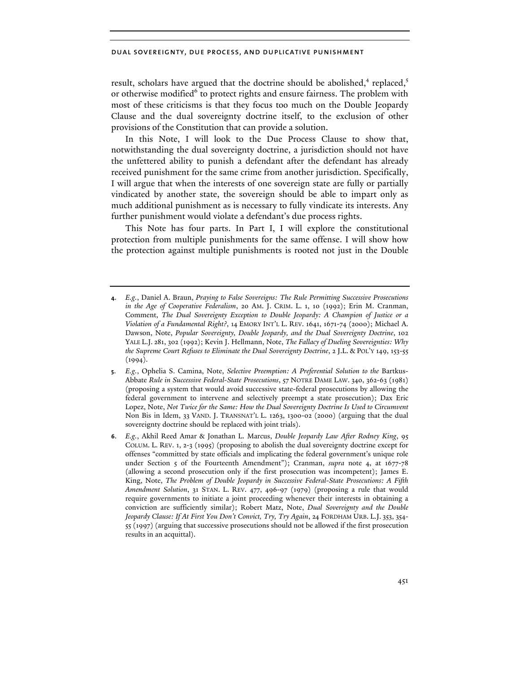result, scholars have argued that the doctrine should be abolished, $4$  replaced, $5$ or otherwise modified<sup>6</sup> to protect rights and ensure fairness. The problem with most of these criticisms is that they focus too much on the Double Jeopardy Clause and the dual sovereignty doctrine itself, to the exclusion of other provisions of the Constitution that can provide a solution.

In this Note, I will look to the Due Process Clause to show that, notwithstanding the dual sovereignty doctrine, a jurisdiction should not have the unfettered ability to punish a defendant after the defendant has already received punishment for the same crime from another jurisdiction. Specifically, I will argue that when the interests of one sovereign state are fully or partially vindicated by another state, the sovereign should be able to impart only as much additional punishment as is necessary to fully vindicate its interests. Any further punishment would violate a defendant's due process rights.

This Note has four parts. In Part I, I will explore the constitutional protection from multiple punishments for the same offense. I will show how the protection against multiple punishments is rooted not just in the Double

**<sup>4</sup>**. *E.g.*, Daniel A. Braun, *Praying to False Sovereigns: The Rule Permitting Successive Prosecutions in the Age of Cooperative Federalism*, 20 AM. J. CRIM. L. 1, 10 (1992); Erin M. Cranman, Comment, *The Dual Sovereignty Exception to Double Jeopardy: A Champion of Justice or a Violation of a Fundamental Right?*, 14 EMORY INT'L L. REV. 1641, 1671-74 (2000); Michael A. Dawson, Note, *Popular Sovereignty, Double Jeopardy, and the Dual Sovereignty Doctrine*, 102 YALE L.J. 281, 302 (1992); Kevin J. Hellmann, Note, *The Fallacy of Dueling Sovereignties: Why the Supreme Court Refuses to Eliminate the Dual Sovereignty Doctrine*, 2 J.L. & POL'Y 149, 153-55  $(1994)$ .

**<sup>5</sup>**. *E.g.*, Ophelia S. Camina, Note, *Selective Preemption: A Preferential Solution to the* Bartkus-Abbate *Rule in Successive Federal-State Prosecutions*, 57 NOTRE DAME LAW. 340, 362-63 (1981) (proposing a system that would avoid successive state-federal prosecutions by allowing the federal government to intervene and selectively preempt a state prosecution); Dax Eric Lopez, Note, *Not Twice for the Same: How the Dual Sovereignty Doctrine Is Used to Circumvent*  Non Bis in Idem, 33 VAND. J. TRANSNAT'L L. 1263, 1300-02 (2000) (arguing that the dual sovereignty doctrine should be replaced with joint trials).

**<sup>6</sup>**. *E.g.*, Akhil Reed Amar & Jonathan L. Marcus, *Double Jeopardy Law After Rodney King*, 95 COLUM. L. REV. 1, 2-3 (1995) (proposing to abolish the dual sovereignty doctrine except for offenses "committed by state officials and implicating the federal government's unique role under Section 5 of the Fourteenth Amendment"); Cranman, *supra* note 4, at 1677-78 (allowing a second prosecution only if the first prosecution was incompetent); James E. King, Note, *The Problem of Double Jeopardy in Successive Federal-State Prosecutions: A Fifth Amendment Solution*, 31 STAN. L. REV. 477, 496-97 (1979) (proposing a rule that would require governments to initiate a joint proceeding whenever their interests in obtaining a conviction are sufficiently similar); Robert Matz, Note, *Dual Sovereignty and the Double Jeopardy Clause: If At First You Don't Convict, Try, Try Again*, 24 FORDHAM URB. L.J. 353, 354- 55 (1997) (arguing that successive prosecutions should not be allowed if the first prosecution results in an acquittal).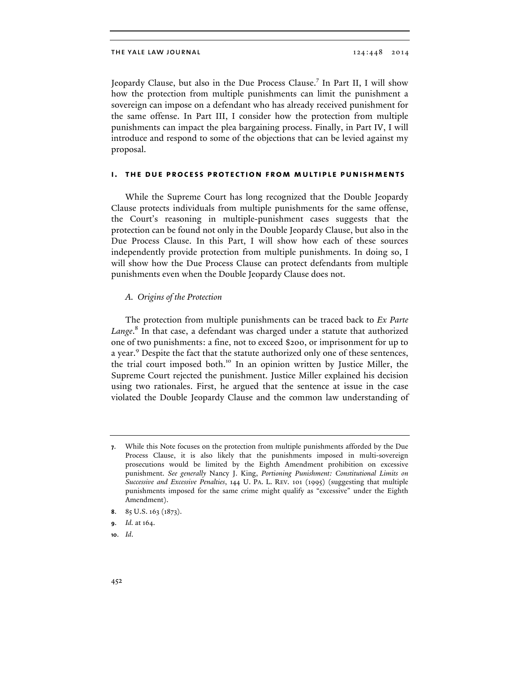Jeopardy Clause, but also in the Due Process Clause.<sup>7</sup> In Part II, I will show how the protection from multiple punishments can limit the punishment a sovereign can impose on a defendant who has already received punishment for the same offense. In Part III, I consider how the protection from multiple punishments can impact the plea bargaining process. Finally, in Part IV, I will introduce and respond to some of the objections that can be levied against my proposal.

## **i. the due process protection from multiple punishments**

While the Supreme Court has long recognized that the Double Jeopardy Clause protects individuals from multiple punishments for the same offense, the Court's reasoning in multiple-punishment cases suggests that the protection can be found not only in the Double Jeopardy Clause, but also in the Due Process Clause. In this Part, I will show how each of these sources independently provide protection from multiple punishments. In doing so, I will show how the Due Process Clause can protect defendants from multiple punishments even when the Double Jeopardy Clause does not.

#### *A. Origins of the Protection*

The protection from multiple punishments can be traced back to *Ex Parte Lange*. <sup>8</sup> In that case, a defendant was charged under a statute that authorized one of two punishments: a fine, not to exceed \$200, or imprisonment for up to a year.<sup>9</sup> Despite the fact that the statute authorized only one of these sentences, the trial court imposed both.<sup>10</sup> In an opinion written by Justice Miller, the Supreme Court rejected the punishment. Justice Miller explained his decision using two rationales. First, he argued that the sentence at issue in the case violated the Double Jeopardy Clause and the common law understanding of

**10**. *Id*.

**<sup>7</sup>**. While this Note focuses on the protection from multiple punishments afforded by the Due Process Clause, it is also likely that the punishments imposed in multi-sovereign prosecutions would be limited by the Eighth Amendment prohibition on excessive punishment. *See generally* Nancy J. King, *Portioning Punishment: Constitutional Limits on Successive and Excessive Penalties*, 144 U. PA. L. REV. 101 (1995) (suggesting that multiple punishments imposed for the same crime might qualify as "excessive" under the Eighth Amendment).

**<sup>8</sup>**. 85 U.S. 163 (1873).

**<sup>9</sup>**. *Id.* at 164.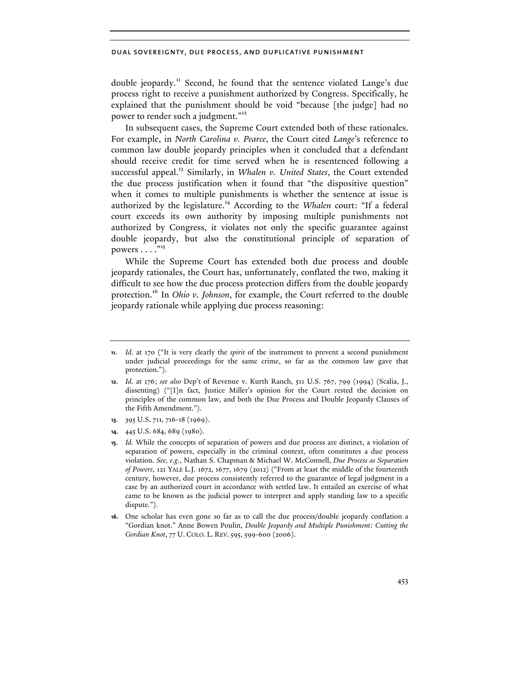double jeopardy.<sup>11</sup> Second, he found that the sentence violated Lange's due process right to receive a punishment authorized by Congress. Specifically, he explained that the punishment should be void "because [the judge] had no power to render such a judgment."<sup>12</sup>

In subsequent cases, the Supreme Court extended both of these rationales. For example, in *North Carolina v. Pearce*, the Court cited *Lange*'s reference to common law double jeopardy principles when it concluded that a defendant should receive credit for time served when he is resentenced following a successful appeal.<sup>13</sup> Similarly, in *Whalen v. United States*, the Court extended the due process justification when it found that "the dispositive question" when it comes to multiple punishments is whether the sentence at issue is authorized by the legislature.<sup>14</sup> According to the *Whalen* court: "If a federal court exceeds its own authority by imposing multiple punishments not authorized by Congress, it violates not only the specific guarantee against double jeopardy, but also the constitutional principle of separation of powers  $\dots$ ."<sup>15</sup>

While the Supreme Court has extended both due process and double jeopardy rationales, the Court has, unfortunately, conflated the two, making it difficult to see how the due process protection differs from the double jeopardy protection.16 In *Ohio v. Johnson*, for example, the Court referred to the double jeopardy rationale while applying due process reasoning:

- **13**. 395 U.S. 711, 716-18 (1969).
- **14**. 445 U.S. 684, 689 (1980).

**<sup>11</sup>**. *Id.* at 170 ("It is very clearly the *spirit* of the instrument to prevent a second punishment under judicial proceedings for the same crime, so far as the common law gave that protection.").

**<sup>12</sup>**. *Id.* at 176; *see also* Dep't of Revenue v. Kurth Ranch, 511 U.S. 767, 799 (1994) (Scalia, J., dissenting) ("[I]n fact, Justice Miller's opinion for the Court rested the decision on principles of the common law, and both the Due Process and Double Jeopardy Clauses of the Fifth Amendment.").

**<sup>15</sup>**. *Id.* While the concepts of separation of powers and due process are distinct, a violation of separation of powers, especially in the criminal context, often constitutes a due process violation. *See, e.g.*, Nathan S. Chapman & Michael W. McConnell, *Due Process as Separation of Powers*, 121 YALE L.J. 1672, 1677, 1679 (2012) ("From at least the middle of the fourteenth century, however, due process consistently referred to the guarantee of legal judgment in a case by an authorized court in accordance with settled law. It entailed an exercise of what came to be known as the judicial power to interpret and apply standing law to a specific dispute.").

**<sup>16</sup>**. One scholar has even gone so far as to call the due process/double jeopardy conflation a "Gordian knot." Anne Bowen Poulin, *Double Jeopardy and Multiple Punishment: Cutting the Gordian Knot*, 77 U. COLO. L. REV.595, 599-600 (2006).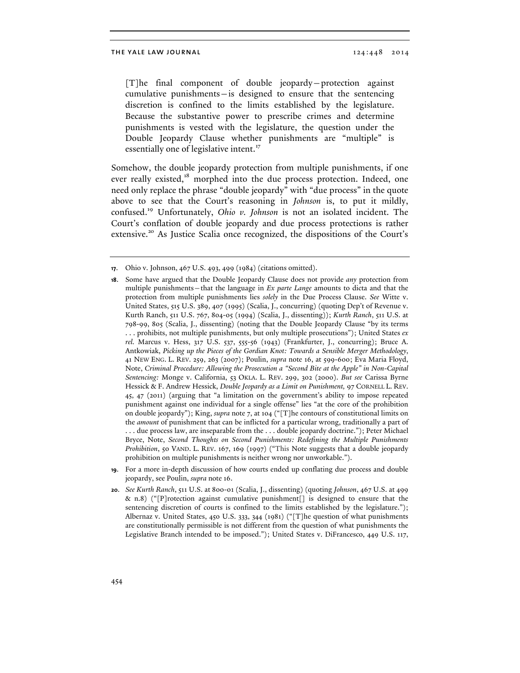#### the yale law journal 124:448 2014

[T]he final component of double jeopardy—protection against cumulative punishments—is designed to ensure that the sentencing discretion is confined to the limits established by the legislature. Because the substantive power to prescribe crimes and determine punishments is vested with the legislature, the question under the Double Jeopardy Clause whether punishments are "multiple" is essentially one of legislative intent.<sup>17</sup>

Somehow, the double jeopardy protection from multiple punishments, if one ever really existed,<sup>18</sup> morphed into the due process protection. Indeed, one need only replace the phrase "double jeopardy" with "due process" in the quote above to see that the Court's reasoning in *Johnson* is, to put it mildly, confused. <sup>19</sup> Unfortunately, *Ohio v. Johnson* is not an isolated incident. The Court's conflation of double jeopardy and due process protections is rather extensive.<sup>20</sup> As Justice Scalia once recognized, the dispositions of the Court's

**<sup>17</sup>**. Ohio v. Johnson, 467 U.S. 493, 499 (1984) (citations omitted).

**<sup>18</sup>**. Some have argued that the Double Jeopardy Clause does not provide *any* protection from multiple punishments—that the language in *Ex parte Lange* amounts to dicta and that the protection from multiple punishments lies *solely* in the Due Process Clause. *See* Witte v. United States, 515 U.S. 389, 407 (1995) (Scalia, J., concurring) (quoting Dep't of Revenue v. Kurth Ranch, 511 U.S. 767, 804-05 (1994) (Scalia, J., dissenting)); *Kurth Ranch*, 511 U.S. at 798-99, 805 (Scalia, J., dissenting) (noting that the Double Jeopardy Clause "by its terms . . . prohibits, not multiple punishments, but only multiple prosecutions"); United States *ex rel.* Marcus v. Hess, 317 U.S. 537, 555-56 (1943) (Frankfurter, J., concurring); Bruce A. Antkowiak, *Picking up the Pieces of the Gordian Knot: Towards a Sensible Merger Methodology*, 41 NEW ENG. L. REV. 259, 263 (2007); Poulin, *supra* note 16, at 599-600; Eva Maria Floyd, Note, *Criminal Procedure: Allowing the Prosecution a "Second Bite at the Apple" in Non-Capital Sentencing:* Monge v. California, 53 OKLA. L. REV. 299, 302 (2000). *But see* Carissa Byrne Hessick & F. Andrew Hessick, *Double Jeopardy as a Limit on Punishment,* 97 CORNELL L. REV. 45, 47 (2011) (arguing that "a limitation on the government's ability to impose repeated punishment against one individual for a single offense" lies "at the core of the prohibition on double jeopardy"); King, *supra* note 7, at 104 ("[T]he contours of constitutional limits on the *amount* of punishment that can be inflicted for a particular wrong, traditionally a part of . . . due process law, are inseparable from the . . . double jeopardy doctrine."); Peter Michael Bryce, Note, *Second Thoughts on Second Punishments: Redefining the Multiple Punishments Prohibition*, 50 VAND. L. REV. 167, 169 (1997) ("This Note suggests that a double jeopardy prohibition on multiple punishments is neither wrong nor unworkable.").

**<sup>19</sup>**. For a more in-depth discussion of how courts ended up conflating due process and double jeopardy, see Poulin, *supra* note 16.

**<sup>20</sup>**. *See Kurth Ranch*, 511 U.S. at 800-01 (Scalia, J., dissenting) (quoting *Johnson*, 467 U.S. at 499 & n.8) ("[P]rotection against cumulative punishment[] is designed to ensure that the sentencing discretion of courts is confined to the limits established by the legislature."); Albernaz v. United States, 450 U.S. 333, 344 (1981) ("[T]he question of what punishments are constitutionally permissible is not different from the question of what punishments the Legislative Branch intended to be imposed."); United States v. DiFrancesco, 449 U.S. 117,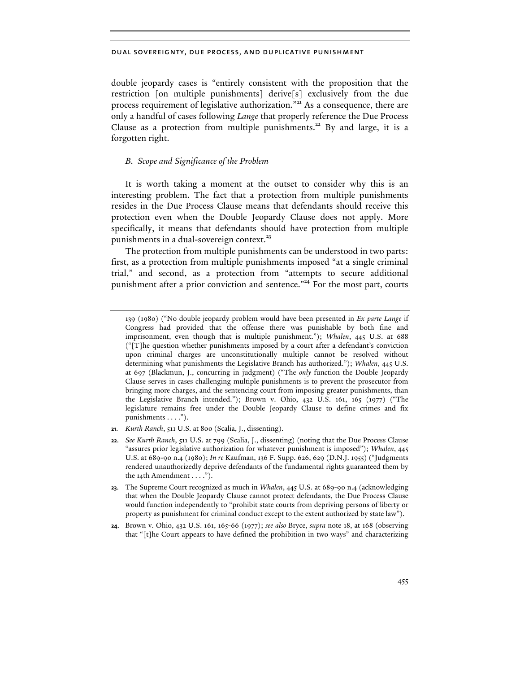double jeopardy cases is "entirely consistent with the proposition that the restriction [on multiple punishments] derive[s] exclusively from the due process requirement of legislative authorization."<sup>21</sup> As a consequence, there are only a handful of cases following *Lange* that properly reference the Due Process Clause as a protection from multiple punishments.<sup>22</sup> By and large, it is a forgotten right.

## *B. Scope and Significance of the Problem*

It is worth taking a moment at the outset to consider why this is an interesting problem. The fact that a protection from multiple punishments resides in the Due Process Clause means that defendants should receive this protection even when the Double Jeopardy Clause does not apply. More specifically, it means that defendants should have protection from multiple punishments in a dual-sovereign context.<sup>23</sup>

The protection from multiple punishments can be understood in two parts: first, as a protection from multiple punishments imposed "at a single criminal trial," and second, as a protection from "attempts to secure additional punishment after a prior conviction and sentence."<sup>24</sup> For the most part, courts

**21**. *Kurth Ranch*, 511 U.S. at 800 (Scalia, J., dissenting).

<sup>139 (1980) (&</sup>quot;No double jeopardy problem would have been presented in *Ex parte Lange* if Congress had provided that the offense there was punishable by both fine and imprisonment, even though that is multiple punishment."); *Whalen*, 445 U.S. at 688 ("[T]he question whether punishments imposed by a court after a defendant's conviction upon criminal charges are unconstitutionally multiple cannot be resolved without determining what punishments the Legislative Branch has authorized."); *Whalen*, 445 U.S. at 697 (Blackmun, J., concurring in judgment) ("The *only* function the Double Jeopardy Clause serves in cases challenging multiple punishments is to prevent the prosecutor from bringing more charges, and the sentencing court from imposing greater punishments, than the Legislative Branch intended."); Brown v. Ohio, 432 U.S. 161, 165 (1977) ("The legislature remains free under the Double Jeopardy Clause to define crimes and fix punishments . . . .").

**<sup>22</sup>**. *See Kurth Ranch*, 511 U.S. at 799 (Scalia, J., dissenting) (noting that the Due Process Clause "assures prior legislative authorization for whatever punishment is imposed"); *Whalen*, 445 U.S. at 689-90 n.4 (1980); *In re* Kaufman, 136 F. Supp. 626, 629 (D.N.J. 1955) ("Judgments rendered unauthorizedly deprive defendants of the fundamental rights guaranteed them by the 14th Amendment . . . .").

**<sup>23</sup>**. The Supreme Court recognized as much in *Whalen*, 445 U.S. at 689-90 n.4 (acknowledging that when the Double Jeopardy Clause cannot protect defendants, the Due Process Clause would function independently to "prohibit state courts from depriving persons of liberty or property as punishment for criminal conduct except to the extent authorized by state law").

**<sup>24</sup>**. Brown v. Ohio, 432 U.S. 161, 165-66 (1977); *see also* Bryce, *supra* note 18, at 168 (observing that "[t]he Court appears to have defined the prohibition in two ways" and characterizing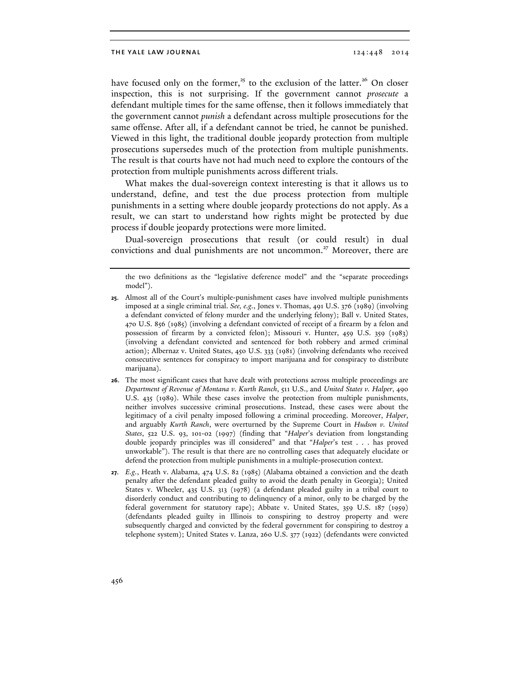have focused only on the former,<sup>25</sup> to the exclusion of the latter.<sup>26</sup> On closer inspection, this is not surprising. If the government cannot *prosecute* a defendant multiple times for the same offense, then it follows immediately that the government cannot *punish* a defendant across multiple prosecutions for the same offense. After all, if a defendant cannot be tried, he cannot be punished. Viewed in this light, the traditional double jeopardy protection from multiple prosecutions supersedes much of the protection from multiple punishments. The result is that courts have not had much need to explore the contours of the protection from multiple punishments across different trials.

What makes the dual-sovereign context interesting is that it allows us to understand, define, and test the due process protection from multiple punishments in a setting where double jeopardy protections do not apply. As a result, we can start to understand how rights might be protected by due process if double jeopardy protections were more limited.

Dual-sovereign prosecutions that result (or could result) in dual convictions and dual punishments are not uncommon.<sup>27</sup> Moreover, there are

- **26**. The most significant cases that have dealt with protections across multiple proceedings are *Department of Revenue of Montana v. Kurth Ranch*, 511 U.S., and *United States v. Halper*, 490 U.S. 435 (1989). While these cases involve the protection from multiple punishments, neither involves successive criminal prosecutions. Instead, these cases were about the legitimacy of a civil penalty imposed following a criminal proceeding. Moreover, *Halper*, and arguably *Kurth Ranch*, were overturned by the Supreme Court in *Hudson v. United States*, 522 U.S. 93, 101-02 (1997) (finding that "*Halper*'s deviation from longstanding double jeopardy principles was ill considered" and that "*Halper*'s test . . . has proved unworkable"). The result is that there are no controlling cases that adequately elucidate or defend the protection from multiple punishments in a multiple-prosecution context.
- **27**. *E.g.*, Heath v. Alabama, 474 U.S. 82 (1985) (Alabama obtained a conviction and the death penalty after the defendant pleaded guilty to avoid the death penalty in Georgia); United States v. Wheeler, 435 U.S. 313 (1978) (a defendant pleaded guilty in a tribal court to disorderly conduct and contributing to delinquency of a minor, only to be charged by the federal government for statutory rape); Abbate v. United States, 359 U.S. 187 (1959) (defendants pleaded guilty in Illinois to conspiring to destroy property and were subsequently charged and convicted by the federal government for conspiring to destroy a telephone system); United States v. Lanza, 260 U.S. 377 (1922) (defendants were convicted

the two definitions as the "legislative deference model" and the "separate proceedings model").

**<sup>25</sup>**. Almost all of the Court's multiple-punishment cases have involved multiple punishments imposed at a single criminal trial. *See, e.g.*, Jones v. Thomas, 491 U.S. 376 (1989) (involving a defendant convicted of felony murder and the underlying felony); Ball v. United States, 470 U.S. 856 (1985) (involving a defendant convicted of receipt of a firearm by a felon and possession of firearm by a convicted felon); Missouri v. Hunter, 459 U.S. 359 (1983) (involving a defendant convicted and sentenced for both robbery and armed criminal action); Albernaz v. United States, 450 U.S. 333 (1981) (involving defendants who received consecutive sentences for conspiracy to import marijuana and for conspiracy to distribute marijuana).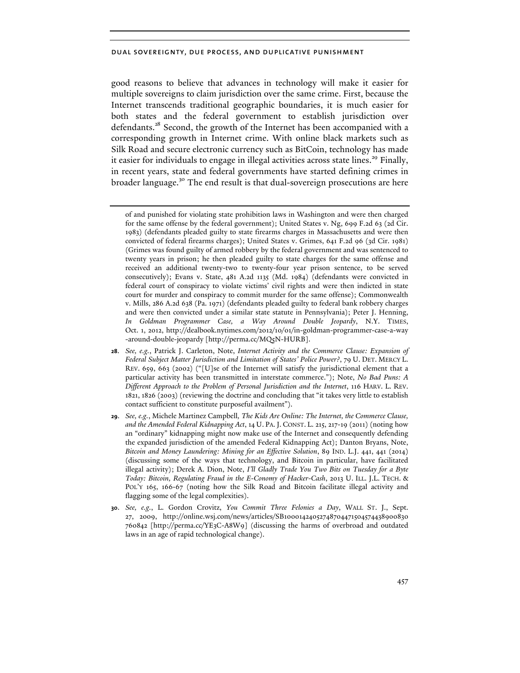good reasons to believe that advances in technology will make it easier for multiple sovereigns to claim jurisdiction over the same crime. First, because the Internet transcends traditional geographic boundaries, it is much easier for both states and the federal government to establish jurisdiction over defendants.<sup>28</sup> Second, the growth of the Internet has been accompanied with a corresponding growth in Internet crime. With online black markets such as Silk Road and secure electronic currency such as BitCoin, technology has made it easier for individuals to engage in illegal activities across state lines.<sup>29</sup> Finally, in recent years, state and federal governments have started defining crimes in broader language.<sup>30</sup> The end result is that dual-sovereign prosecutions are here

of and punished for violating state prohibition laws in Washington and were then charged for the same offense by the federal government); United States v. Ng, 699 F.2d 63 (2d Cir. 1983) (defendants pleaded guilty to state firearms charges in Massachusetts and were then convicted of federal firearms charges); United States v. Grimes, 641 F.2d 96 (3d Cir. 1981) (Grimes was found guilty of armed robbery by the federal government and was sentenced to twenty years in prison; he then pleaded guilty to state charges for the same offense and received an additional twenty-two to twenty-four year prison sentence, to be served consecutively); Evans v. State, 481 A.2d 1135 (Md. 1984) (defendants were convicted in federal court of conspiracy to violate victims' civil rights and were then indicted in state court for murder and conspiracy to commit murder for the same offense); Commonwealth v. Mills, 286 A.2d 638 (Pa. 1971) (defendants pleaded guilty to federal bank robbery charges and were then convicted under a similar state statute in Pennsylvania); Peter J. Henning, *In Goldman Programmer Case, a Way Around Double Jeopardy*, N.Y. TIMES, Oct. 1, 2012, http://dealbook.nytimes.com/2012/10/01/in-goldman-programmer-case-a-way -around-double-jeopardy [http://perma.cc/MQ5N-HURB].

**<sup>28</sup>**. *See, e.g.*, Patrick J. Carleton, Note, *Internet Activity and the Commerce Clause: Expansion of Federal Subject Matter Jurisdiction and Limitation of States' Police Power?*, 79 U. DET. MERCY L. REV. 659, 663 (2002) ("[U]se of the Internet will satisfy the jurisdictional element that a particular activity has been transmitted in interstate commerce."); Note, *No Bad Puns: A Different Approach to the Problem of Personal Jurisdiction and the Internet*, 116 HARV. L. REV. 1821, 1826 (2003) (reviewing the doctrine and concluding that "it takes very little to establish contact sufficient to constitute purposeful availment").

**<sup>29</sup>**. *See, e.g.*, Michele Martinez Campbell*, The Kids Are Online: The Internet, the Commerce Clause, and the Amended Federal Kidnapping Act*, 14 U. PA. J. CONST. L. 215, 217-19 (2011) (noting how an "ordinary" kidnapping might now make use of the Internet and consequently defending the expanded jurisdiction of the amended Federal Kidnapping Act); Danton Bryans, Note, *Bitcoin and Money Laundering: Mining for an Effective Solution*, 89 IND. L.J. 441, 441 (2014) (discussing some of the ways that technology, and Bitcoin in particular, have facilitated illegal activity); Derek A. Dion, Note, *I'll Gladly Trade You Two Bits on Tuesday for a Byte Today: Bitcoin, Regulating Fraud in the E-Conomy of Hacker-Cash*, 2013 U. ILL. J.L. TECH. & POL'Y 165, 166-67 (noting how the Silk Road and Bitcoin facilitate illegal activity and flagging some of the legal complexities).

**<sup>30</sup>**. *See, e.g.*, L. Gordon Crovitz, *You Commit Three Felonies a Day*, WALL ST. J., Sept. 27, 2009, http://online.wsj.com/news/articles/SB10001424052748704471504574438900830 760842 [http://perma.cc/YE3C-A8W9] (discussing the harms of overbroad and outdated laws in an age of rapid technological change).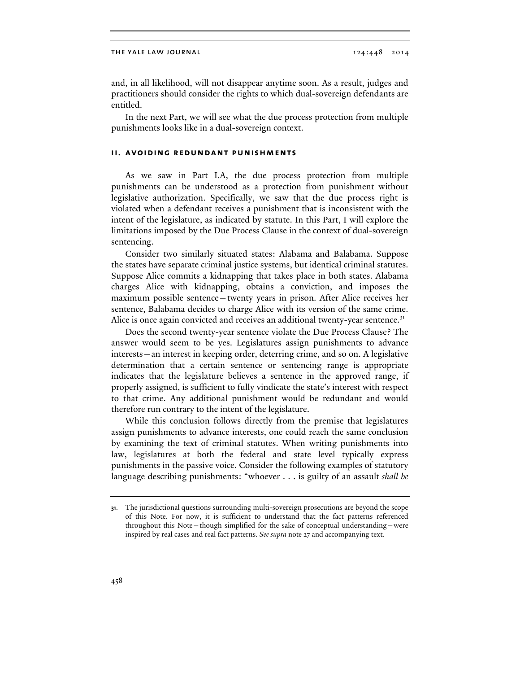and, in all likelihood, will not disappear anytime soon. As a result, judges and practitioners should consider the rights to which dual-sovereign defendants are entitled.

In the next Part, we will see what the due process protection from multiple punishments looks like in a dual-sovereign context.

## **ii. avoiding redundant punishments**

As we saw in Part I.A, the due process protection from multiple punishments can be understood as a protection from punishment without legislative authorization. Specifically, we saw that the due process right is violated when a defendant receives a punishment that is inconsistent with the intent of the legislature, as indicated by statute. In this Part, I will explore the limitations imposed by the Due Process Clause in the context of dual-sovereign sentencing.

Consider two similarly situated states: Alabama and Balabama. Suppose the states have separate criminal justice systems, but identical criminal statutes. Suppose Alice commits a kidnapping that takes place in both states. Alabama charges Alice with kidnapping, obtains a conviction, and imposes the maximum possible sentence—twenty years in prison. After Alice receives her sentence, Balabama decides to charge Alice with its version of the same crime. Alice is once again convicted and receives an additional twenty-year sentence.<sup>31</sup>

Does the second twenty-year sentence violate the Due Process Clause? The answer would seem to be yes. Legislatures assign punishments to advance interests—an interest in keeping order, deterring crime, and so on. A legislative determination that a certain sentence or sentencing range is appropriate indicates that the legislature believes a sentence in the approved range, if properly assigned, is sufficient to fully vindicate the state's interest with respect to that crime. Any additional punishment would be redundant and would therefore run contrary to the intent of the legislature.

While this conclusion follows directly from the premise that legislatures assign punishments to advance interests, one could reach the same conclusion by examining the text of criminal statutes. When writing punishments into law, legislatures at both the federal and state level typically express punishments in the passive voice. Consider the following examples of statutory language describing punishments: "whoever . . . is guilty of an assault *shall be* 

**<sup>31</sup>**. The jurisdictional questions surrounding multi-sovereign prosecutions are beyond the scope of this Note. For now, it is sufficient to understand that the fact patterns referenced throughout this Note—though simplified for the sake of conceptual understanding—were inspired by real cases and real fact patterns. *See supra* note 27 and accompanying text.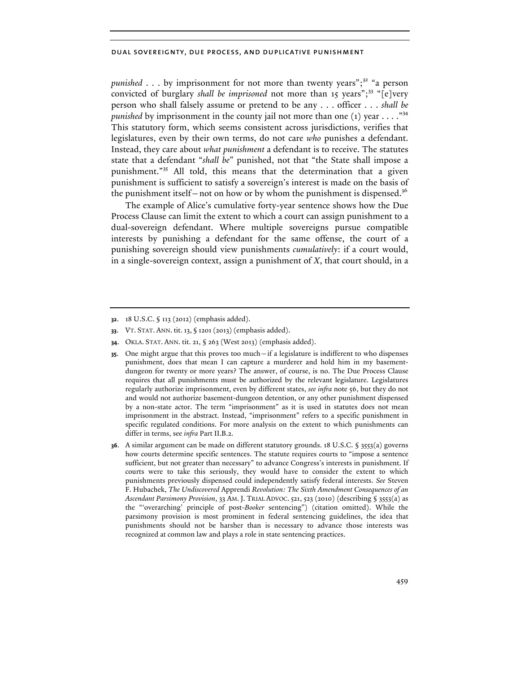*punished* . . . by imprisonment for not more than twenty years";<sup>32</sup> "a person convicted of burglary *shall be imprisoned* not more than 15 years";<sup>33</sup> "[e]very person who shall falsely assume or pretend to be any . . . officer . . . *shall be punished* by imprisonment in the county jail not more than one  $(1)$  year . . . . "<sup>34</sup> This statutory form, which seems consistent across jurisdictions, verifies that legislatures, even by their own terms, do not care *who* punishes a defendant. Instead, they care about *what punishment* a defendant is to receive. The statutes state that a defendant "*shall be*" punished, not that "the State shall impose a punishment."<sup>35</sup> All told, this means that the determination that a given punishment is sufficient to satisfy a sovereign's interest is made on the basis of the punishment itself—not on how or by whom the punishment is dispensed.<sup>36</sup>

The example of Alice's cumulative forty-year sentence shows how the Due Process Clause can limit the extent to which a court can assign punishment to a dual-sovereign defendant. Where multiple sovereigns pursue compatible interests by punishing a defendant for the same offense, the court of a punishing sovereign should view punishments *cumulatively*: if a court would, in a single-sovereign context, assign a punishment of *X*, that court should, in a

- **35**. One might argue that this proves too much—if a legislature is indifferent to who dispenses punishment, does that mean I can capture a murderer and hold him in my basementdungeon for twenty or more years? The answer, of course, is no. The Due Process Clause requires that all punishments must be authorized by the relevant legislature. Legislatures regularly authorize imprisonment, even by different states, *see infra* note 56, but they do not and would not authorize basement-dungeon detention, or any other punishment dispensed by a non-state actor. The term "imprisonment" as it is used in statutes does not mean imprisonment in the abstract. Instead, "imprisonment" refers to a specific punishment in specific regulated conditions. For more analysis on the extent to which punishments can differ in terms, see *infra* Part II.B.2.
- **36**. A similar argument can be made on different statutory grounds. 18 U.S.C. § 3553(a) governs how courts determine specific sentences. The statute requires courts to "impose a sentence sufficient, but not greater than necessary" to advance Congress's interests in punishment. If courts were to take this seriously, they would have to consider the extent to which punishments previously dispensed could independently satisfy federal interests. *See* Steven F. Hubachek, *The Undiscovered* Apprendi *Revolution: The Sixth Amendment Consequences of an Ascendant Parsimony Provision*, 33 AM. J. TRIAL ADVOC.521, 523 (2010) (describing § 3553(a) as the "'overarching' principle of post-*Booker* sentencing") (citation omitted). While the parsimony provision is most prominent in federal sentencing guidelines, the idea that punishments should not be harsher than is necessary to advance those interests was recognized at common law and plays a role in state sentencing practices.

**<sup>32</sup>**. 18 U.S.C. § 113 (2012) (emphasis added).

**<sup>33</sup>**. VT. STAT. ANN. tit.13, § 1201(2013)(emphasis added).

**<sup>34</sup>**. OKLA. STAT. ANN. tit. 21, § 263 (West 2013) (emphasis added).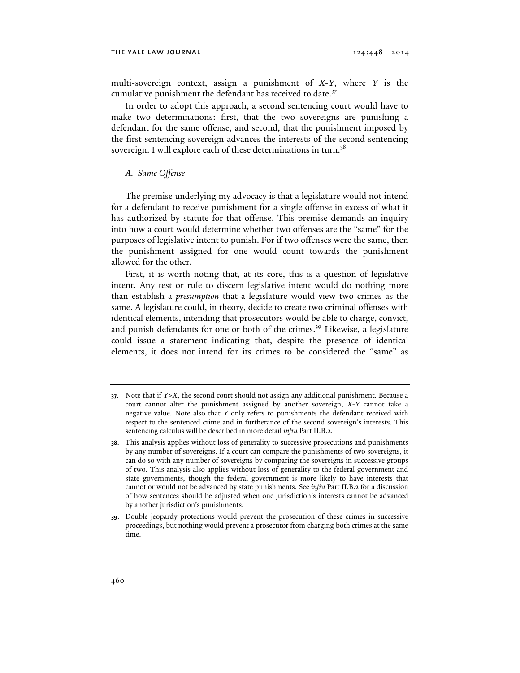multi-sovereign context, assign a punishment of *X*-*Y*, where *Y* is the cumulative punishment the defendant has received to date.<sup>37</sup>

In order to adopt this approach, a second sentencing court would have to make two determinations: first, that the two sovereigns are punishing a defendant for the same offense, and second, that the punishment imposed by the first sentencing sovereign advances the interests of the second sentencing sovereign. I will explore each of these determinations in turn.<sup>38</sup>

## *A. Same Offense*

The premise underlying my advocacy is that a legislature would not intend for a defendant to receive punishment for a single offense in excess of what it has authorized by statute for that offense. This premise demands an inquiry into how a court would determine whether two offenses are the "same" for the purposes of legislative intent to punish. For if two offenses were the same, then the punishment assigned for one would count towards the punishment allowed for the other.

First, it is worth noting that, at its core, this is a question of legislative intent. Any test or rule to discern legislative intent would do nothing more than establish a *presumption* that a legislature would view two crimes as the same. A legislature could, in theory, decide to create two criminal offenses with identical elements, intending that prosecutors would be able to charge, convict, and punish defendants for one or both of the crimes.<sup>39</sup> Likewise, a legislature could issue a statement indicating that, despite the presence of identical elements, it does not intend for its crimes to be considered the "same" as

**<sup>37</sup>**. Note that if *Y*>*X*, the second court should not assign any additional punishment. Because a court cannot alter the punishment assigned by another sovereign, *X*-*Y* cannot take a negative value. Note also that *Y* only refers to punishments the defendant received with respect to the sentenced crime and in furtherance of the second sovereign's interests. This sentencing calculus will be described in more detail *infra* Part II.B.2.

**<sup>38</sup>**. This analysis applies without loss of generality to successive prosecutions and punishments by any number of sovereigns. If a court can compare the punishments of two sovereigns, it can do so with any number of sovereigns by comparing the sovereigns in successive groups of two. This analysis also applies without loss of generality to the federal government and state governments, though the federal government is more likely to have interests that cannot or would not be advanced by state punishments. See *infra* Part II.B.2 for a discussion of how sentences should be adjusted when one jurisdiction's interests cannot be advanced by another jurisdiction's punishments.

**<sup>39</sup>**. Double jeopardy protections would prevent the prosecution of these crimes in successive proceedings, but nothing would prevent a prosecutor from charging both crimes at the same time.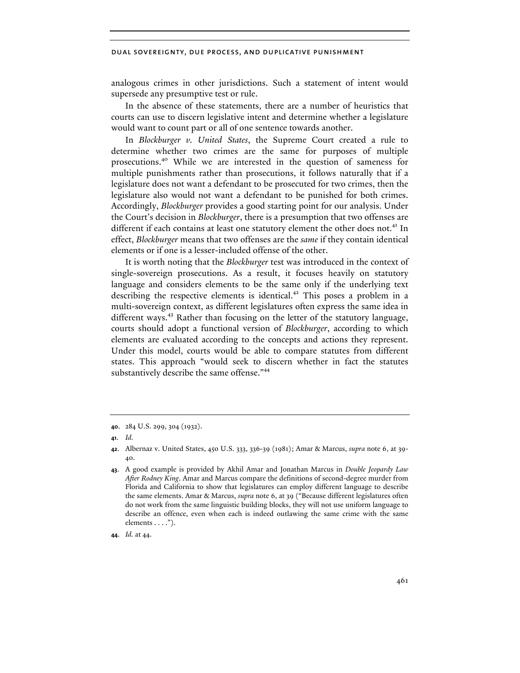analogous crimes in other jurisdictions. Such a statement of intent would supersede any presumptive test or rule.

In the absence of these statements, there are a number of heuristics that courts can use to discern legislative intent and determine whether a legislature would want to count part or all of one sentence towards another.

In *Blockburger v. United States*, the Supreme Court created a rule to determine whether two crimes are the same for purposes of multiple prosecutions.<sup>40</sup> While we are interested in the question of sameness for multiple punishments rather than prosecutions, it follows naturally that if a legislature does not want a defendant to be prosecuted for two crimes, then the legislature also would not want a defendant to be punished for both crimes. Accordingly, *Blockburger* provides a good starting point for our analysis. Under the Court's decision in *Blockburger*, there is a presumption that two offenses are different if each contains at least one statutory element the other does not.<sup>41</sup> In effect, *Blockburger* means that two offenses are the *same* if they contain identical elements or if one is a lesser-included offense of the other.

It is worth noting that the *Blockburger* test was introduced in the context of single-sovereign prosecutions. As a result, it focuses heavily on statutory language and considers elements to be the same only if the underlying text describing the respective elements is identical.<sup>42</sup> This poses a problem in a multi-sovereign context, as different legislatures often express the same idea in different ways.<sup>43</sup> Rather than focusing on the letter of the statutory language, courts should adopt a functional version of *Blockburger*, according to which elements are evaluated according to the concepts and actions they represent. Under this model, courts would be able to compare statutes from different states. This approach "would seek to discern whether in fact the statutes substantively describe the same offense."<sup>44</sup>

**<sup>40</sup>**. 284 U.S. 299, 304 (1932).

**<sup>41</sup>**. *Id.*

**<sup>42</sup>**. Albernaz v. United States, 450 U.S. 333, 336-39 (1981); Amar & Marcus, *supra* note 6, at 39- 40.

**<sup>43</sup>**. A good example is provided by Akhil Amar and Jonathan Marcus in *Double Jeopardy Law After Rodney King*. Amar and Marcus compare the definitions of second-degree murder from Florida and California to show that legislatures can employ different language to describe the same elements. Amar & Marcus, *supra* note 6, at 39 ("Because different legislatures often do not work from the same linguistic building blocks, they will not use uniform language to describe an offence, even when each is indeed outlawing the same crime with the same elements . . . .").

**<sup>44</sup>**. *Id.* at 44.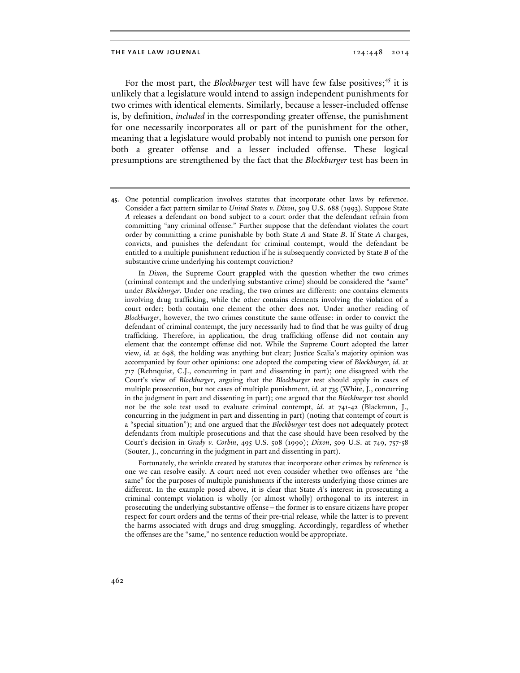For the most part, the *Blockburger* test will have few false positives;<sup>45</sup> it is unlikely that a legislature would intend to assign independent punishments for two crimes with identical elements. Similarly, because a lesser-included offense is, by definition, *included* in the corresponding greater offense, the punishment for one necessarily incorporates all or part of the punishment for the other, meaning that a legislature would probably not intend to punish one person for both a greater offense and a lesser included offense. These logical presumptions are strengthened by the fact that the *Blockburger* test has been in

**45**. One potential complication involves statutes that incorporate other laws by reference. Consider a fact pattern similar to *United States v. Dixon*, 509 U.S. 688 (1993). Suppose State *A* releases a defendant on bond subject to a court order that the defendant refrain from committing "any criminal offense." Further suppose that the defendant violates the court order by committing a crime punishable by both State *A* and State *B*. If State *A* charges, convicts, and punishes the defendant for criminal contempt, would the defendant be entitled to a multiple punishment reduction if he is subsequently convicted by State *B* of the substantive crime underlying his contempt conviction?

In *Dixon*, the Supreme Court grappled with the question whether the two crimes (criminal contempt and the underlying substantive crime) should be considered the "same" under *Blockburger*. Under one reading, the two crimes are different: one contains elements involving drug trafficking, while the other contains elements involving the violation of a court order; both contain one element the other does not. Under another reading of *Blockburger*, however, the two crimes constitute the same offense: in order to convict the defendant of criminal contempt, the jury necessarily had to find that he was guilty of drug trafficking. Therefore, in application, the drug trafficking offense did not contain any element that the contempt offense did not. While the Supreme Court adopted the latter view, *id.* at 698, the holding was anything but clear; Justice Scalia's majority opinion was accompanied by four other opinions: one adopted the competing view of *Blockburger*, *id.* at 717 (Rehnquist, C.J., concurring in part and dissenting in part); one disagreed with the Court's view of *Blockburger*, arguing that the *Blockburger* test should apply in cases of multiple prosecution, but not cases of multiple punishment, *id.* at 735 (White, J., concurring in the judgment in part and dissenting in part); one argued that the *Blockburger* test should not be the sole test used to evaluate criminal contempt, *id.* at 741-42 (Blackmun, J., concurring in the judgment in part and dissenting in part) (noting that contempt of court is a "special situation"); and one argued that the *Blockburger* test does not adequately protect defendants from multiple prosecutions and that the case should have been resolved by the Court's decision in *Grady v. Corbin*, 495 U.S. 508 (1990); *Dixon*, 509 U.S. at 749, 757-58 (Souter, J., concurring in the judgment in part and dissenting in part).

Fortunately, the wrinkle created by statutes that incorporate other crimes by reference is one we can resolve easily. A court need not even consider whether two offenses are "the same" for the purposes of multiple punishments if the interests underlying those crimes are different. In the example posed above, it is clear that State *A*'s interest in prosecuting a criminal contempt violation is wholly (or almost wholly) orthogonal to its interest in prosecuting the underlying substantive offense—the former is to ensure citizens have proper respect for court orders and the terms of their pre-trial release, while the latter is to prevent the harms associated with drugs and drug smuggling. Accordingly, regardless of whether the offenses are the "same," no sentence reduction would be appropriate.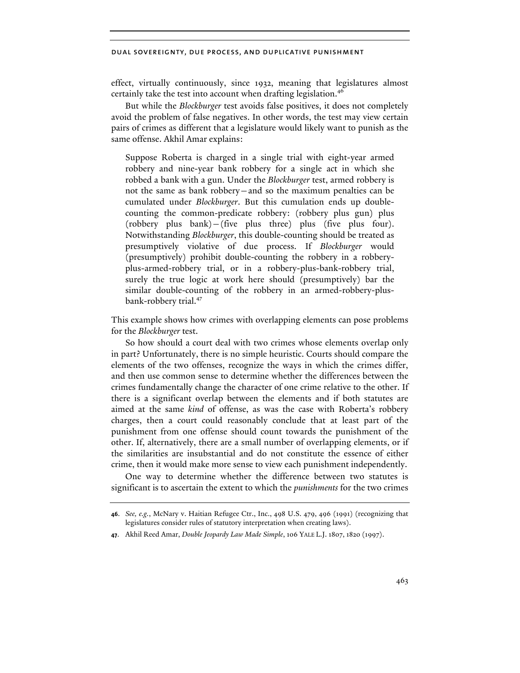effect, virtually continuously, since 1932, meaning that legislatures almost certainly take the test into account when drafting legislation.<sup>46</sup>

But while the *Blockburger* test avoids false positives, it does not completely avoid the problem of false negatives. In other words, the test may view certain pairs of crimes as different that a legislature would likely want to punish as the same offense. Akhil Amar explains:

Suppose Roberta is charged in a single trial with eight-year armed robbery and nine-year bank robbery for a single act in which she robbed a bank with a gun. Under the *Blockburger* test, armed robbery is not the same as bank robbery—and so the maximum penalties can be cumulated under *Blockburger*. But this cumulation ends up doublecounting the common-predicate robbery: (robbery plus gun) plus (robbery plus bank)—(five plus three) plus (five plus four). Notwithstanding *Blockburger*, this double-counting should be treated as presumptively violative of due process. If *Blockburger* would (presumptively) prohibit double-counting the robbery in a robberyplus-armed-robbery trial, or in a robbery-plus-bank-robbery trial, surely the true logic at work here should (presumptively) bar the similar double-counting of the robbery in an armed-robbery-plusbank-robbery trial.<sup>47</sup>

This example shows how crimes with overlapping elements can pose problems for the *Blockburger* test.

So how should a court deal with two crimes whose elements overlap only in part? Unfortunately, there is no simple heuristic. Courts should compare the elements of the two offenses, recognize the ways in which the crimes differ, and then use common sense to determine whether the differences between the crimes fundamentally change the character of one crime relative to the other. If there is a significant overlap between the elements and if both statutes are aimed at the same *kind* of offense, as was the case with Roberta's robbery charges, then a court could reasonably conclude that at least part of the punishment from one offense should count towards the punishment of the other. If, alternatively, there are a small number of overlapping elements, or if the similarities are insubstantial and do not constitute the essence of either crime, then it would make more sense to view each punishment independently.

One way to determine whether the difference between two statutes is significant is to ascertain the extent to which the *punishments* for the two crimes

**<sup>46</sup>**. *See, e.g.*, McNary v. Haitian Refugee Ctr., Inc., 498 U.S. 479, 496 (1991) (recognizing that legislatures consider rules of statutory interpretation when creating laws).

**<sup>47</sup>**. Akhil Reed Amar, *Double Jeopardy Law Made Simple*, 106 YALE L.J. 1807, 1820 (1997).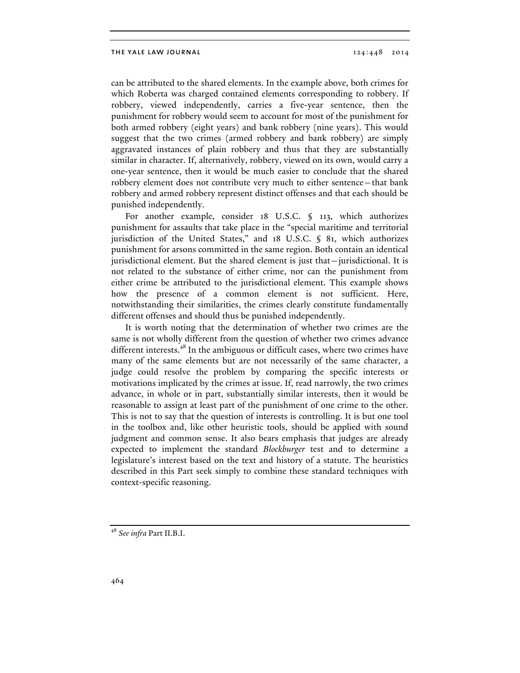can be attributed to the shared elements. In the example above, both crimes for which Roberta was charged contained elements corresponding to robbery. If robbery, viewed independently, carries a five-year sentence, then the punishment for robbery would seem to account for most of the punishment for both armed robbery (eight years) and bank robbery (nine years). This would suggest that the two crimes (armed robbery and bank robbery) are simply aggravated instances of plain robbery and thus that they are substantially similar in character. If, alternatively, robbery, viewed on its own, would carry a one-year sentence, then it would be much easier to conclude that the shared robbery element does not contribute very much to either sentence—that bank robbery and armed robbery represent distinct offenses and that each should be punished independently.

For another example, consider 18 U.S.C. § 113, which authorizes punishment for assaults that take place in the "special maritime and territorial jurisdiction of the United States," and 18 U.S.C. § 81, which authorizes punishment for arsons committed in the same region. Both contain an identical jurisdictional element. But the shared element is just that—jurisdictional. It is not related to the substance of either crime, nor can the punishment from either crime be attributed to the jurisdictional element. This example shows how the presence of a common element is not sufficient. Here, notwithstanding their similarities, the crimes clearly constitute fundamentally different offenses and should thus be punished independently.

It is worth noting that the determination of whether two crimes are the same is not wholly different from the question of whether two crimes advance different interests.<sup>48</sup> In the ambiguous or difficult cases, where two crimes have many of the same elements but are not necessarily of the same character, a judge could resolve the problem by comparing the specific interests or motivations implicated by the crimes at issue. If, read narrowly, the two crimes advance, in whole or in part, substantially similar interests, then it would be reasonable to assign at least part of the punishment of one crime to the other. This is not to say that the question of interests is controlling. It is but one tool in the toolbox and, like other heuristic tools, should be applied with sound judgment and common sense. It also bears emphasis that judges are already expected to implement the standard *Blockburger* test and to determine a legislature's interest based on the text and history of a statute. The heuristics described in this Part seek simply to combine these standard techniques with context-specific reasoning.

<sup>48</sup> *See infra* Part II.B.I.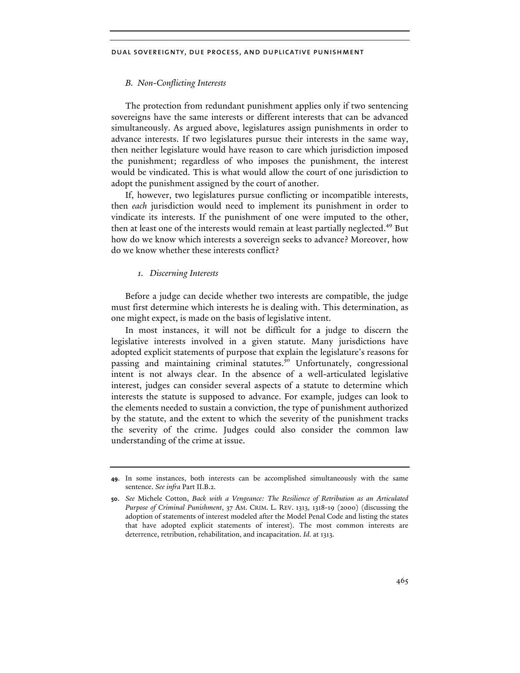## *B. Non-Conflicting Interests*

The protection from redundant punishment applies only if two sentencing sovereigns have the same interests or different interests that can be advanced simultaneously. As argued above, legislatures assign punishments in order to advance interests. If two legislatures pursue their interests in the same way, then neither legislature would have reason to care which jurisdiction imposed the punishment; regardless of who imposes the punishment, the interest would be vindicated. This is what would allow the court of one jurisdiction to adopt the punishment assigned by the court of another.

If, however, two legislatures pursue conflicting or incompatible interests, then *each* jurisdiction would need to implement its punishment in order to vindicate its interests. If the punishment of one were imputed to the other, then at least one of the interests would remain at least partially neglected.<sup>49</sup> But how do we know which interests a sovereign seeks to advance? Moreover, how do we know whether these interests conflict?

#### *1. Discerning Interests*

Before a judge can decide whether two interests are compatible, the judge must first determine which interests he is dealing with. This determination, as one might expect, is made on the basis of legislative intent.

In most instances, it will not be difficult for a judge to discern the legislative interests involved in a given statute. Many jurisdictions have adopted explicit statements of purpose that explain the legislature's reasons for passing and maintaining criminal statutes.<sup>50</sup> Unfortunately, congressional intent is not always clear. In the absence of a well-articulated legislative interest, judges can consider several aspects of a statute to determine which interests the statute is supposed to advance. For example, judges can look to the elements needed to sustain a conviction, the type of punishment authorized by the statute, and the extent to which the severity of the punishment tracks the severity of the crime. Judges could also consider the common law understanding of the crime at issue.

**<sup>49</sup>**. In some instances, both interests can be accomplished simultaneously with the same sentence. *See infra* Part II.B.2.

**<sup>50</sup>**. *See* Michele Cotton, *Back with a Vengeance: The Resilience of Retribution as an Articulated Purpose of Criminal Punishment*, 37 AM. CRIM. L. REV. 1313, 1318-19 (2000) (discussing the adoption of statements of interest modeled after the Model Penal Code and listing the states that have adopted explicit statements of interest). The most common interests are deterrence, retribution, rehabilitation, and incapacitation. *Id.* at 1313.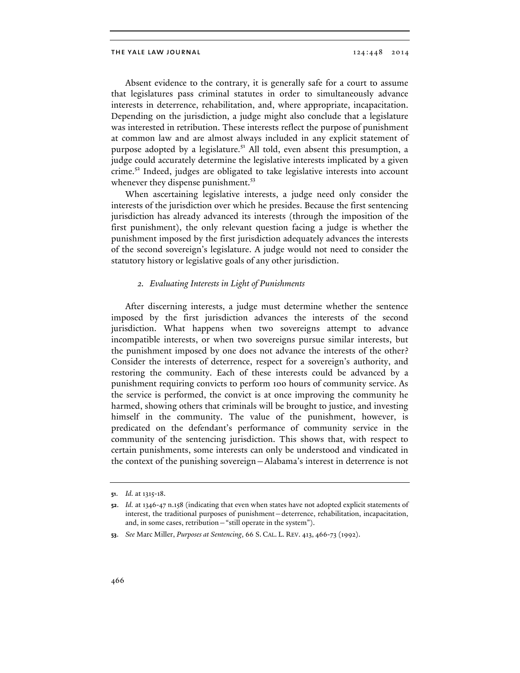Absent evidence to the contrary, it is generally safe for a court to assume that legislatures pass criminal statutes in order to simultaneously advance interests in deterrence, rehabilitation, and, where appropriate, incapacitation. Depending on the jurisdiction, a judge might also conclude that a legislature was interested in retribution. These interests reflect the purpose of punishment at common law and are almost always included in any explicit statement of purpose adopted by a legislature.<sup>51</sup> All told, even absent this presumption, a judge could accurately determine the legislative interests implicated by a given crime.<sup>52</sup> Indeed, judges are obligated to take legislative interests into account whenever they dispense punishment.<sup>53</sup>

When ascertaining legislative interests, a judge need only consider the interests of the jurisdiction over which he presides. Because the first sentencing jurisdiction has already advanced its interests (through the imposition of the first punishment), the only relevant question facing a judge is whether the punishment imposed by the first jurisdiction adequately advances the interests of the second sovereign's legislature. A judge would not need to consider the statutory history or legislative goals of any other jurisdiction.

#### *2. Evaluating Interests in Light of Punishments*

After discerning interests, a judge must determine whether the sentence imposed by the first jurisdiction advances the interests of the second jurisdiction. What happens when two sovereigns attempt to advance incompatible interests, or when two sovereigns pursue similar interests, but the punishment imposed by one does not advance the interests of the other? Consider the interests of deterrence, respect for a sovereign's authority, and restoring the community. Each of these interests could be advanced by a punishment requiring convicts to perform 100 hours of community service. As the service is performed, the convict is at once improving the community he harmed, showing others that criminals will be brought to justice, and investing himself in the community. The value of the punishment, however, is predicated on the defendant's performance of community service in the community of the sentencing jurisdiction. This shows that, with respect to certain punishments, some interests can only be understood and vindicated in the context of the punishing sovereign—Alabama's interest in deterrence is not

**<sup>51</sup>**. *Id.* at 1315-18.

**<sup>52</sup>**. *Id.* at 1346-47 n.158 (indicating that even when states have not adopted explicit statements of interest, the traditional purposes of punishment—deterrence, rehabilitation, incapacitation, and, in some cases, retribution—"still operate in the system").

**<sup>53</sup>**. *See* Marc Miller, *Purposes at Sentencing*, 66 S. CAL. L. REV. 413, 466-73 (1992).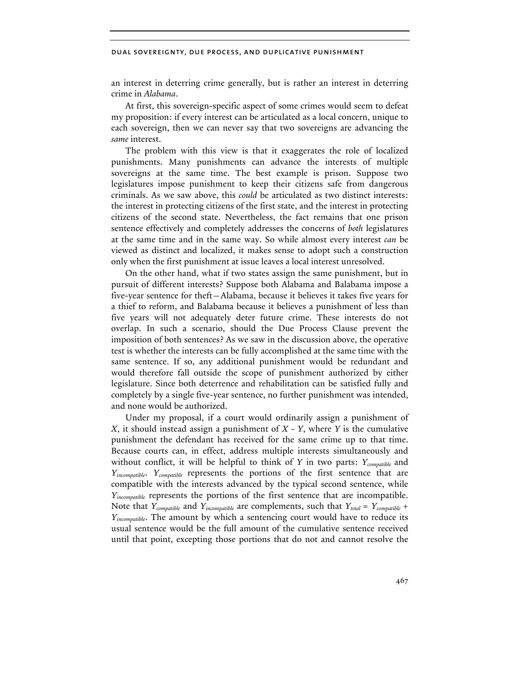an interest in deterring crime generally, but is rather an interest in deterring crime in *Alabama*.

At first, this sovereign-specific aspect of some crimes would seem to defeat my proposition: if every interest can be articulated as a local concern, unique to each sovereign, then we can never say that two sovereigns are advancing the *same* interest.

The problem with this view is that it exaggerates the role of localized punishments. Many punishments can advance the interests of multiple sovereigns at the same time. The best example is prison. Suppose two legislatures impose punishment to keep their citizens safe from dangerous criminals. As we saw above, this *could* be articulated as two distinct interests: the interest in protecting citizens of the first state, and the interest in protecting citizens of the second state. Nevertheless, the fact remains that one prison sentence effectively and completely addresses the concerns of *both* legislatures at the same time and in the same way. So while almost every interest *can* be viewed as distinct and localized, it makes sense to adopt such a construction only when the first punishment at issue leaves a local interest unresolved.

On the other hand, what if two states assign the same punishment, but in pursuit of different interests? Suppose both Alabama and Balabama impose a five-year sentence for theft—Alabama, because it believes it takes five years for a thief to reform, and Balabama because it believes a punishment of less than five years will not adequately deter future crime. These interests do not overlap. In such a scenario, should the Due Process Clause prevent the imposition of both sentences? As we saw in the discussion above, the operative test is whether the interests can be fully accomplished at the same time with the same sentence. If so, any additional punishment would be redundant and would therefore fall outside the scope of punishment authorized by either legislature. Since both deterrence and rehabilitation can be satisfied fully and completely by a single five-year sentence, no further punishment was intended, and none would be authorized.

Under my proposal, if a court would ordinarily assign a punishment of *X*, it should instead assign a punishment of *X - Y*, where *Y* is the cumulative punishment the defendant has received for the same crime up to that time. Because courts can, in effect, address multiple interests simultaneously and without conflict, it will be helpful to think of *Y* in two parts: *Ycompatible* and *Yincompatible*. *Ycompatible* represents the portions of the first sentence that are compatible with the interests advanced by the typical second sentence, while *Yincompatible* represents the portions of the first sentence that are incompatible. Note that *Ycompatible* and *Yincompatible* are complements, such that *Ytotal = Ycompatible + Yincompatible*. The amount by which a sentencing court would have to reduce its usual sentence would be the full amount of the cumulative sentence received until that point, excepting those portions that do not and cannot resolve the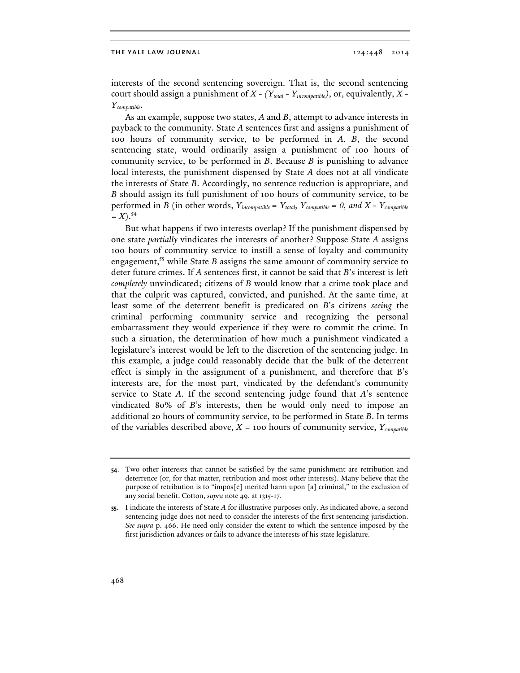interests of the second sentencing sovereign. That is, the second sentencing court should assign a punishment of *X - (Ytotal - Yincompatible)*, or, equivalently, *X - Ycompatible*.

As an example, suppose two states, *A* and *B*, attempt to advance interests in payback to the community. State *A* sentences first and assigns a punishment of 100 hours of community service, to be performed in *A*. *B*, the second sentencing state, would ordinarily assign a punishment of 100 hours of community service, to be performed in *B*. Because *B* is punishing to advance local interests, the punishment dispensed by State *A* does not at all vindicate the interests of State *B*. Accordingly, no sentence reduction is appropriate, and *B* should assign its full punishment of 100 hours of community service, to be performed in *B* (in other words,  $Y_{incompatible} = Y_{total}$ ,  $Y_{compatible} = 0$ , and  $X - Y_{compatible}$  $=X$ ).<sup>54</sup>

But what happens if two interests overlap? If the punishment dispensed by one state *partially* vindicates the interests of another? Suppose State *A* assigns 100 hours of community service to instill a sense of loyalty and community engagement,<sup>55</sup> while State *B* assigns the same amount of community service to deter future crimes. If *A* sentences first, it cannot be said that *B*'s interest is left *completely* unvindicated; citizens of *B* would know that a crime took place and that the culprit was captured, convicted, and punished. At the same time, at least some of the deterrent benefit is predicated on *B*'s citizens *seeing* the criminal performing community service and recognizing the personal embarrassment they would experience if they were to commit the crime. In such a situation, the determination of how much a punishment vindicated a legislature's interest would be left to the discretion of the sentencing judge. In this example, a judge could reasonably decide that the bulk of the deterrent effect is simply in the assignment of a punishment, and therefore that B's interests are, for the most part, vindicated by the defendant's community service to State *A*. If the second sentencing judge found that *A*'s sentence vindicated 80% of *B*'s interests, then he would only need to impose an additional 20 hours of community service, to be performed in State *B*. In terms of the variables described above, *X* = 100 hours of community service, *Ycompatible*

**<sup>54</sup>**. Two other interests that cannot be satisfied by the same punishment are retribution and deterrence (or, for that matter, retribution and most other interests). Many believe that the purpose of retribution is to "impos[e] merited harm upon [a] criminal," to the exclusion of any social benefit. Cotton, *supra* note 49, at 1315-17.

**<sup>55</sup>**. I indicate the interests of State *A* for illustrative purposes only. As indicated above, a second sentencing judge does not need to consider the interests of the first sentencing jurisdiction. *See supra* p. 466. He need only consider the extent to which the sentence imposed by the first jurisdiction advances or fails to advance the interests of his state legislature.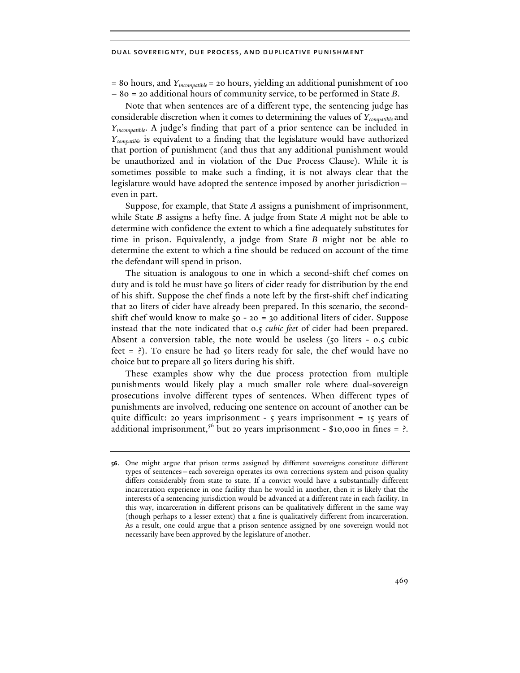= 80 hours, and *Yincompatible* = 20 hours, yielding an additional punishment of 100 – 80 = 20 additional hours of community service, to be performed in State *B*.

Note that when sentences are of a different type, the sentencing judge has considerable discretion when it comes to determining the values of *Ycompatible* and *Yincompatible*. A judge's finding that part of a prior sentence can be included in *Ycompatible* is equivalent to a finding that the legislature would have authorized that portion of punishment (and thus that any additional punishment would be unauthorized and in violation of the Due Process Clause). While it is sometimes possible to make such a finding, it is not always clear that the legislature would have adopted the sentence imposed by another jurisdiction even in part.

Suppose, for example, that State *A* assigns a punishment of imprisonment, while State *B* assigns a hefty fine. A judge from State *A* might not be able to determine with confidence the extent to which a fine adequately substitutes for time in prison. Equivalently, a judge from State *B* might not be able to determine the extent to which a fine should be reduced on account of the time the defendant will spend in prison.

The situation is analogous to one in which a second-shift chef comes on duty and is told he must have 50 liters of cider ready for distribution by the end of his shift. Suppose the chef finds a note left by the first-shift chef indicating that 20 liters of cider have already been prepared. In this scenario, the secondshift chef would know to make  $50 - 20 = 30$  additional liters of cider. Suppose instead that the note indicated that 0.5 *cubic feet* of cider had been prepared. Absent a conversion table, the note would be useless (50 liters - 0.5 cubic feet  $=$  ?). To ensure he had 50 liters ready for sale, the chef would have no choice but to prepare all 50 liters during his shift.

These examples show why the due process protection from multiple punishments would likely play a much smaller role where dual-sovereign prosecutions involve different types of sentences. When different types of punishments are involved, reducing one sentence on account of another can be quite difficult: 20 years imprisonment - 5 years imprisonment = 15 years of additional imprisonment,<sup>56</sup> but 20 years imprisonment - \$10,000 in fines = ?.

**<sup>56</sup>**. One might argue that prison terms assigned by different sovereigns constitute different types of sentences—each sovereign operates its own corrections system and prison quality differs considerably from state to state. If a convict would have a substantially different incarceration experience in one facility than he would in another, then it is likely that the interests of a sentencing jurisdiction would be advanced at a different rate in each facility. In this way, incarceration in different prisons can be qualitatively different in the same way (though perhaps to a lesser extent) that a fine is qualitatively different from incarceration. As a result, one could argue that a prison sentence assigned by one sovereign would not necessarily have been approved by the legislature of another.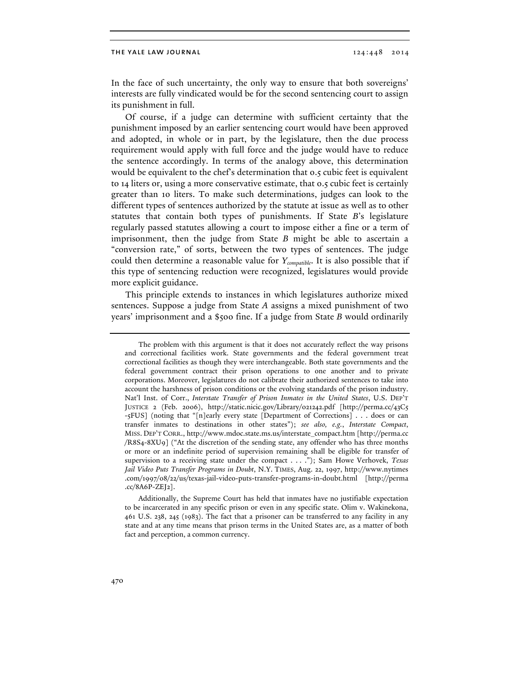In the face of such uncertainty, the only way to ensure that both sovereigns' interests are fully vindicated would be for the second sentencing court to assign its punishment in full.

Of course, if a judge can determine with sufficient certainty that the punishment imposed by an earlier sentencing court would have been approved and adopted, in whole or in part, by the legislature, then the due process requirement would apply with full force and the judge would have to reduce the sentence accordingly. In terms of the analogy above, this determination would be equivalent to the chef's determination that 0.5 cubic feet is equivalent to 14 liters or, using a more conservative estimate, that 0.5 cubic feet is certainly greater than 10 liters. To make such determinations, judges can look to the different types of sentences authorized by the statute at issue as well as to other statutes that contain both types of punishments. If State *B*'s legislature regularly passed statutes allowing a court to impose either a fine or a term of imprisonment, then the judge from State *B* might be able to ascertain a "conversion rate," of sorts, between the two types of sentences. The judge could then determine a reasonable value for *Ycompatible*. It is also possible that if this type of sentencing reduction were recognized, legislatures would provide more explicit guidance.

This principle extends to instances in which legislatures authorize mixed sentences. Suppose a judge from State *A* assigns a mixed punishment of two years' imprisonment and a \$500 fine. If a judge from State *B* would ordinarily

Additionally, the Supreme Court has held that inmates have no justifiable expectation to be incarcerated in any specific prison or even in any specific state. Olim v. Wakinekona, 461 U.S. 238, 245 (1983). The fact that a prisoner can be transferred to any facility in any state and at any time means that prison terms in the United States are, as a matter of both fact and perception, a common currency.

The problem with this argument is that it does not accurately reflect the way prisons and correctional facilities work. State governments and the federal government treat correctional facilities as though they were interchangeable. Both state governments and the federal government contract their prison operations to one another and to private corporations. Moreover, legislatures do not calibrate their authorized sentences to take into account the harshness of prison conditions or the evolving standards of the prison industry. Nat'l Inst. of Corr., *Interstate Transfer of Prison Inmates in the United States*, U.S. DEP'T JUSTICE 2 (Feb. 2006), http://static.nicic.gov/Library/021242.pdf [http://perma.cc/43C5 -5FUS] (noting that "[n]early every state [Department of Corrections] . . . does or can transfer inmates to destinations in other states"); *see also, e.g.*, *Interstate Compact*, MISS. DEP'T CORR., http://www.mdoc.state.ms.us/interstate\_compact.htm [http://perma.cc /R8S4-8XU9] ("At the discretion of the sending state, any offender who has three months or more or an indefinite period of supervision remaining shall be eligible for transfer of supervision to a receiving state under the compact . . . ."); Sam Howe Verhovek, *Texas Jail Video Puts Transfer Programs in Doubt*, N.Y. TIMES, Aug. 22, 1997, http://www.nytimes .com/1997/08/22/us/texas-jail-video-puts-transfer-programs-in-doubt.html [http://perma .cc/8A6P-ZEJ2].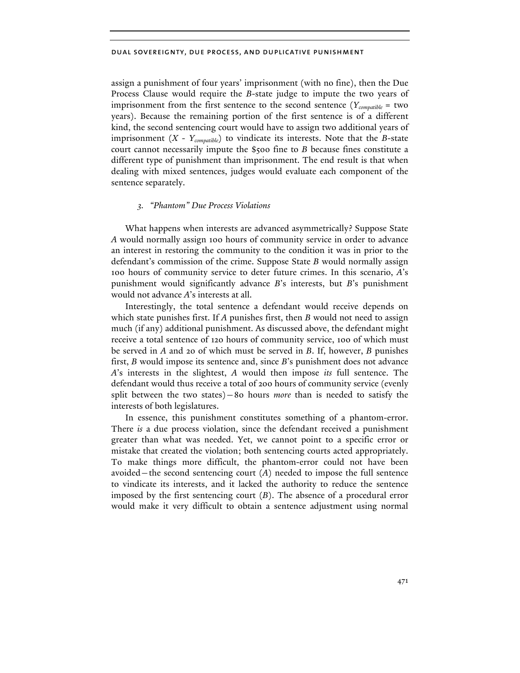assign a punishment of four years' imprisonment (with no fine), then the Due Process Clause would require the *B*-state judge to impute the two years of imprisonment from the first sentence to the second sentence (*Ycompatible* = two years). Because the remaining portion of the first sentence is of a different kind, the second sentencing court would have to assign two additional years of imprisonment (*X - Ycompatible*) to vindicate its interests. Note that the *B*-state court cannot necessarily impute the \$500 fine to *B* because fines constitute a different type of punishment than imprisonment. The end result is that when dealing with mixed sentences, judges would evaluate each component of the sentence separately.

## *3. "Phantom" Due Process Violations*

What happens when interests are advanced asymmetrically? Suppose State *A* would normally assign 100 hours of community service in order to advance an interest in restoring the community to the condition it was in prior to the defendant's commission of the crime. Suppose State *B* would normally assign 100 hours of community service to deter future crimes. In this scenario, *A*'s punishment would significantly advance *B*'s interests, but *B*'s punishment would not advance *A*'s interests at all.

Interestingly, the total sentence a defendant would receive depends on which state punishes first. If *A* punishes first, then *B* would not need to assign much (if any) additional punishment. As discussed above, the defendant might receive a total sentence of 120 hours of community service, 100 of which must be served in *A* and 20 of which must be served in *B*. If, however, *B* punishes first, *B* would impose its sentence and, since *B*'s punishment does not advance *A*'s interests in the slightest, *A* would then impose *its* full sentence. The defendant would thus receive a total of 200 hours of community service (evenly split between the two states)—80 hours *more* than is needed to satisfy the interests of both legislatures.

In essence, this punishment constitutes something of a phantom-error. There *is* a due process violation, since the defendant received a punishment greater than what was needed. Yet, we cannot point to a specific error or mistake that created the violation; both sentencing courts acted appropriately. To make things more difficult, the phantom-error could not have been avoided—the second sentencing court (*A*) needed to impose the full sentence to vindicate its interests, and it lacked the authority to reduce the sentence imposed by the first sentencing court (*B*). The absence of a procedural error would make it very difficult to obtain a sentence adjustment using normal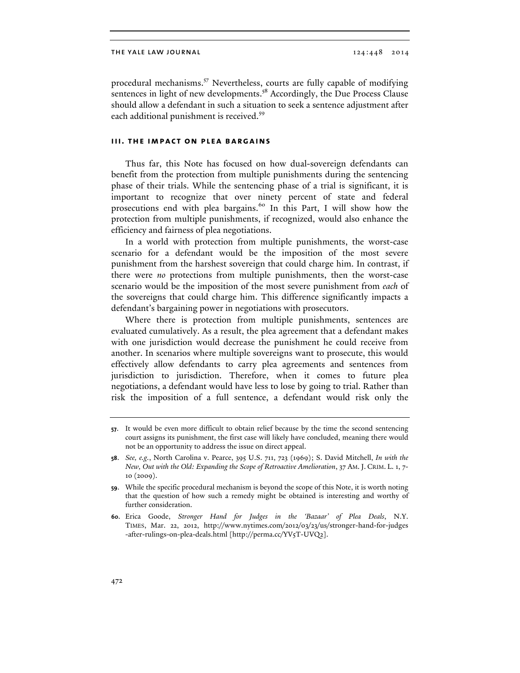procedural mechanisms.<sup>57</sup> Nevertheless, courts are fully capable of modifying sentences in light of new developments.<sup>58</sup> Accordingly, the Due Process Clause should allow a defendant in such a situation to seek a sentence adjustment after each additional punishment is received.<sup>59</sup>

## **iii. the impact on plea bargains**

Thus far, this Note has focused on how dual-sovereign defendants can benefit from the protection from multiple punishments during the sentencing phase of their trials. While the sentencing phase of a trial is significant, it is important to recognize that over ninety percent of state and federal prosecutions end with plea bargains.<sup>60</sup> In this Part, I will show how the protection from multiple punishments, if recognized, would also enhance the efficiency and fairness of plea negotiations.

In a world with protection from multiple punishments, the worst-case scenario for a defendant would be the imposition of the most severe punishment from the harshest sovereign that could charge him. In contrast, if there were *no* protections from multiple punishments, then the worst-case scenario would be the imposition of the most severe punishment from *each* of the sovereigns that could charge him. This difference significantly impacts a defendant's bargaining power in negotiations with prosecutors.

Where there is protection from multiple punishments, sentences are evaluated cumulatively. As a result, the plea agreement that a defendant makes with one jurisdiction would decrease the punishment he could receive from another. In scenarios where multiple sovereigns want to prosecute, this would effectively allow defendants to carry plea agreements and sentences from jurisdiction to jurisdiction. Therefore, when it comes to future plea negotiations, a defendant would have less to lose by going to trial. Rather than risk the imposition of a full sentence, a defendant would risk only the

**<sup>57</sup>**. It would be even more difficult to obtain relief because by the time the second sentencing court assigns its punishment, the first case will likely have concluded, meaning there would not be an opportunity to address the issue on direct appeal.

**<sup>58</sup>**. *See, e.g.*, North Carolina v. Pearce, 395 U.S. 711, 723 (1969); S. David Mitchell, *In with the New, Out with the Old: Expanding the Scope of Retroactive Amelioration*, 37 AM. J. CRIM. L. 1, 7- 10 (2009).

**<sup>59</sup>**. While the specific procedural mechanism is beyond the scope of this Note, it is worth noting that the question of how such a remedy might be obtained is interesting and worthy of further consideration.

**<sup>60</sup>**. Erica Goode, *Stronger Hand for Judges in the 'Bazaar' of Plea Deals*, N.Y. TIMES, Mar. 22, 2012, http://www.nytimes.com/2012/03/23/us/stronger-hand-for-judges -after-rulings-on-plea-deals.html [http://perma.cc/YV5T-UVQ2].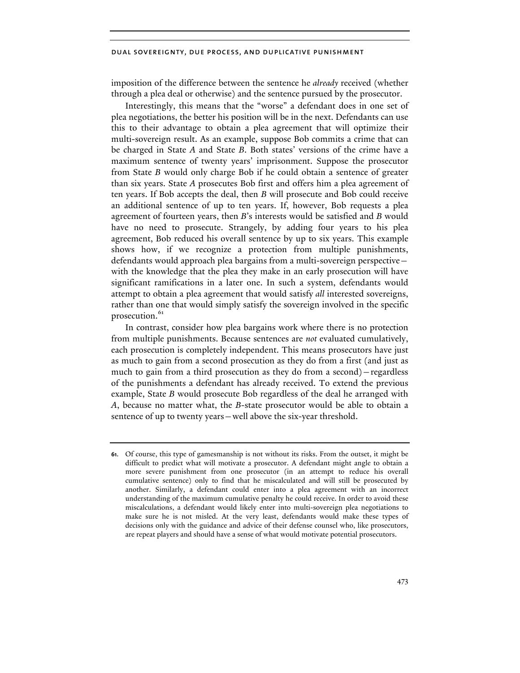imposition of the difference between the sentence he *already* received (whether through a plea deal or otherwise) and the sentence pursued by the prosecutor.

Interestingly, this means that the "worse" a defendant does in one set of plea negotiations, the better his position will be in the next. Defendants can use this to their advantage to obtain a plea agreement that will optimize their multi-sovereign result. As an example, suppose Bob commits a crime that can be charged in State *A* and State *B*. Both states' versions of the crime have a maximum sentence of twenty years' imprisonment. Suppose the prosecutor from State *B* would only charge Bob if he could obtain a sentence of greater than six years. State *A* prosecutes Bob first and offers him a plea agreement of ten years. If Bob accepts the deal, then *B* will prosecute and Bob could receive an additional sentence of up to ten years. If, however, Bob requests a plea agreement of fourteen years, then *B*'s interests would be satisfied and *B* would have no need to prosecute. Strangely, by adding four years to his plea agreement, Bob reduced his overall sentence by up to six years. This example shows how, if we recognize a protection from multiple punishments, defendants would approach plea bargains from a multi-sovereign perspective with the knowledge that the plea they make in an early prosecution will have significant ramifications in a later one. In such a system, defendants would attempt to obtain a plea agreement that would satisfy *all* interested sovereigns, rather than one that would simply satisfy the sovereign involved in the specific prosecution.<sup>61</sup>

In contrast, consider how plea bargains work where there is no protection from multiple punishments. Because sentences are *not* evaluated cumulatively, each prosecution is completely independent. This means prosecutors have just as much to gain from a second prosecution as they do from a first (and just as much to gain from a third prosecution as they do from a second)—regardless of the punishments a defendant has already received. To extend the previous example, State *B* would prosecute Bob regardless of the deal he arranged with *A*, because no matter what, the *B*-state prosecutor would be able to obtain a sentence of up to twenty years—well above the six-year threshold.

**<sup>61</sup>**. Of course, this type of gamesmanship is not without its risks. From the outset, it might be difficult to predict what will motivate a prosecutor. A defendant might angle to obtain a more severe punishment from one prosecutor (in an attempt to reduce his overall cumulative sentence) only to find that he miscalculated and will still be prosecuted by another. Similarly, a defendant could enter into a plea agreement with an incorrect understanding of the maximum cumulative penalty he could receive. In order to avoid these miscalculations, a defendant would likely enter into multi-sovereign plea negotiations to make sure he is not misled. At the very least, defendants would make these types of decisions only with the guidance and advice of their defense counsel who, like prosecutors, are repeat players and should have a sense of what would motivate potential prosecutors.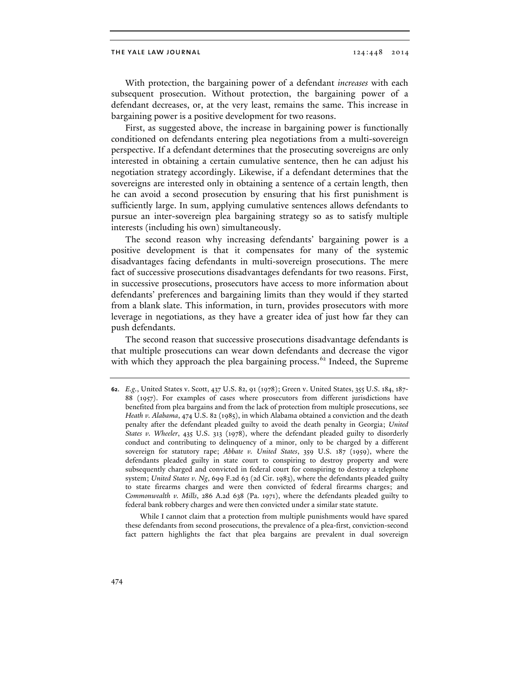With protection, the bargaining power of a defendant *increases* with each subsequent prosecution. Without protection, the bargaining power of a defendant decreases, or, at the very least, remains the same. This increase in bargaining power is a positive development for two reasons.

First, as suggested above, the increase in bargaining power is functionally conditioned on defendants entering plea negotiations from a multi-sovereign perspective. If a defendant determines that the prosecuting sovereigns are only interested in obtaining a certain cumulative sentence, then he can adjust his negotiation strategy accordingly. Likewise, if a defendant determines that the sovereigns are interested only in obtaining a sentence of a certain length, then he can avoid a second prosecution by ensuring that his first punishment is sufficiently large. In sum, applying cumulative sentences allows defendants to pursue an inter-sovereign plea bargaining strategy so as to satisfy multiple interests (including his own) simultaneously.

The second reason why increasing defendants' bargaining power is a positive development is that it compensates for many of the systemic disadvantages facing defendants in multi-sovereign prosecutions. The mere fact of successive prosecutions disadvantages defendants for two reasons. First, in successive prosecutions, prosecutors have access to more information about defendants' preferences and bargaining limits than they would if they started from a blank slate. This information, in turn, provides prosecutors with more leverage in negotiations, as they have a greater idea of just how far they can push defendants.

The second reason that successive prosecutions disadvantage defendants is that multiple prosecutions can wear down defendants and decrease the vigor with which they approach the plea bargaining process.<sup>62</sup> Indeed, the Supreme

 While I cannot claim that a protection from multiple punishments would have spared these defendants from second prosecutions, the prevalence of a plea-first, conviction-second fact pattern highlights the fact that plea bargains are prevalent in dual sovereign

**<sup>62</sup>**. *E.g.*, United States v. Scott, 437 U.S. 82, 91 (1978); Green v. United States, 355 U.S. 184, 187- 88 (1957). For examples of cases where prosecutors from different jurisdictions have benefited from plea bargains and from the lack of protection from multiple prosecutions, see *Heath v. Alabama*, 474 U.S. 82 (1985), in which Alabama obtained a conviction and the death penalty after the defendant pleaded guilty to avoid the death penalty in Georgia; *United States v. Wheeler*, 435 U.S. 313 (1978), where the defendant pleaded guilty to disorderly conduct and contributing to delinquency of a minor, only to be charged by a different sovereign for statutory rape; *Abbate v. United States*, 359 U.S. 187 (1959), where the defendants pleaded guilty in state court to conspiring to destroy property and were subsequently charged and convicted in federal court for conspiring to destroy a telephone system; *United States v. Ng*, 699 F.2d 63 (2d Cir. 1983), where the defendants pleaded guilty to state firearms charges and were then convicted of federal firearms charges; and *Commonwealth v. Mills*, 286 A.2d 638 (Pa. 1971), where the defendants pleaded guilty to federal bank robbery charges and were then convicted under a similar state statute.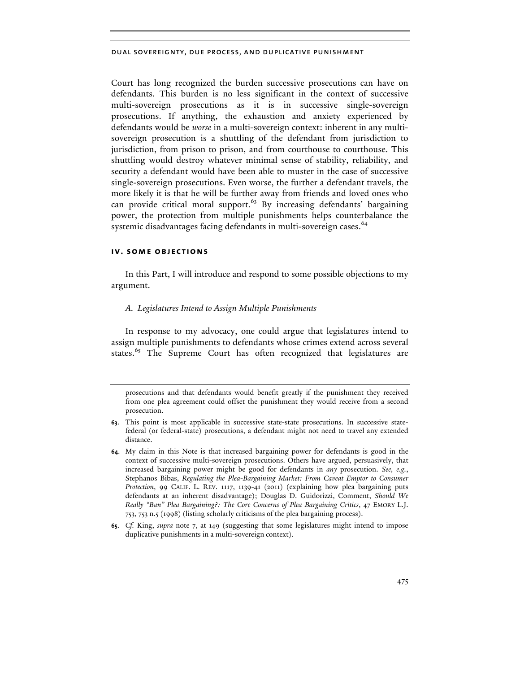Court has long recognized the burden successive prosecutions can have on defendants. This burden is no less significant in the context of successive multi-sovereign prosecutions as it is in successive single-sovereign prosecutions. If anything, the exhaustion and anxiety experienced by defendants would be *worse* in a multi-sovereign context: inherent in any multisovereign prosecution is a shuttling of the defendant from jurisdiction to jurisdiction, from prison to prison, and from courthouse to courthouse. This shuttling would destroy whatever minimal sense of stability, reliability, and security a defendant would have been able to muster in the case of successive single-sovereign prosecutions. Even worse, the further a defendant travels, the more likely it is that he will be further away from friends and loved ones who can provide critical moral support. $63$  By increasing defendants' bargaining power, the protection from multiple punishments helps counterbalance the systemic disadvantages facing defendants in multi-sovereign cases.<sup>64</sup>

## **iv. some objections**

In this Part, I will introduce and respond to some possible objections to my argument.

## *A. Legislatures Intend to Assign Multiple Punishments*

In response to my advocacy, one could argue that legislatures intend to assign multiple punishments to defendants whose crimes extend across several states.<sup>65</sup> The Supreme Court has often recognized that legislatures are

prosecutions and that defendants would benefit greatly if the punishment they received from one plea agreement could offset the punishment they would receive from a second prosecution.

**<sup>63</sup>**. This point is most applicable in successive state-state prosecutions. In successive statefederal (or federal-state) prosecutions, a defendant might not need to travel any extended distance.

**<sup>64</sup>**. My claim in this Note is that increased bargaining power for defendants is good in the context of successive multi-sovereign prosecutions. Others have argued, persuasively, that increased bargaining power might be good for defendants in *any* prosecution. *See, e.g.*, Stephanos Bibas, *Regulating the Plea-Bargaining Market: From Caveat Emptor to Consumer Protection*, 99 CALIF. L. REV. 1117, 1139-41 (2011) (explaining how plea bargaining puts defendants at an inherent disadvantage); Douglas D. Guidorizzi, Comment, *Should We Really "Ban" Plea Bargaining?: The Core Concerns of Plea Bargaining Critics*, 47 EMORY L.J. 753, 753 n.5 (1998) (listing scholarly criticisms of the plea bargaining process).

**<sup>65</sup>**. *Cf.* King, *supra* note 7, at 149 (suggesting that some legislatures might intend to impose duplicative punishments in a multi-sovereign context).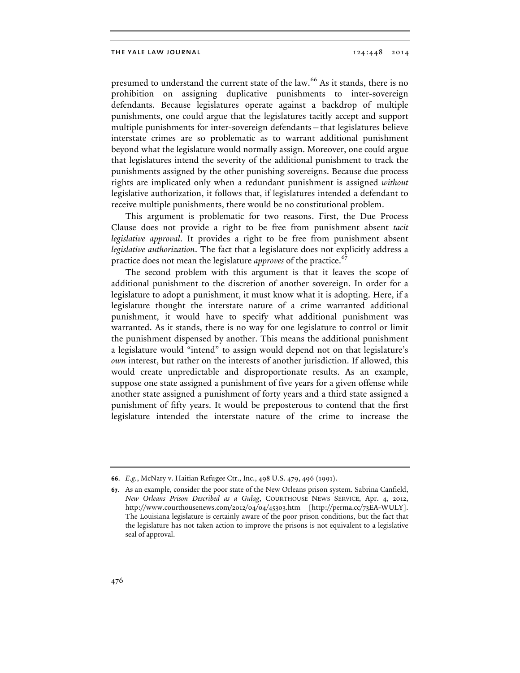presumed to understand the current state of the law.<sup>66</sup> As it stands, there is no prohibition on assigning duplicative punishments to inter-sovereign defendants. Because legislatures operate against a backdrop of multiple punishments, one could argue that the legislatures tacitly accept and support multiple punishments for inter-sovereign defendants—that legislatures believe interstate crimes are so problematic as to warrant additional punishment beyond what the legislature would normally assign. Moreover, one could argue that legislatures intend the severity of the additional punishment to track the punishments assigned by the other punishing sovereigns. Because due process rights are implicated only when a redundant punishment is assigned *without* legislative authorization, it follows that, if legislatures intended a defendant to receive multiple punishments, there would be no constitutional problem.

This argument is problematic for two reasons. First, the Due Process Clause does not provide a right to be free from punishment absent *tacit legislative approval*. It provides a right to be free from punishment absent *legislative authorization*. The fact that a legislature does not explicitly address a practice does not mean the legislature *approves* of the practice.<sup>67</sup>

The second problem with this argument is that it leaves the scope of additional punishment to the discretion of another sovereign. In order for a legislature to adopt a punishment, it must know what it is adopting. Here, if a legislature thought the interstate nature of a crime warranted additional punishment, it would have to specify what additional punishment was warranted. As it stands, there is no way for one legislature to control or limit the punishment dispensed by another. This means the additional punishment a legislature would "intend" to assign would depend not on that legislature's *own* interest, but rather on the interests of another jurisdiction. If allowed, this would create unpredictable and disproportionate results. As an example, suppose one state assigned a punishment of five years for a given offense while another state assigned a punishment of forty years and a third state assigned a punishment of fifty years. It would be preposterous to contend that the first legislature intended the interstate nature of the crime to increase the

**<sup>66</sup>**. *E.g.*, McNary v. Haitian Refugee Ctr., Inc., 498 U.S. 479, 496 (1991).

**<sup>67</sup>**. As an example, consider the poor state of the New Orleans prison system. Sabrina Canfield, *New Orleans Prison Described as a Gulag*, COURTHOUSE NEWS SERVICE, Apr. 4, 2012, http://www.courthousenews.com/2012/04/04/45303.htm [http://perma.cc/73EA-WULY]. The Louisiana legislature is certainly aware of the poor prison conditions, but the fact that the legislature has not taken action to improve the prisons is not equivalent to a legislative seal of approval.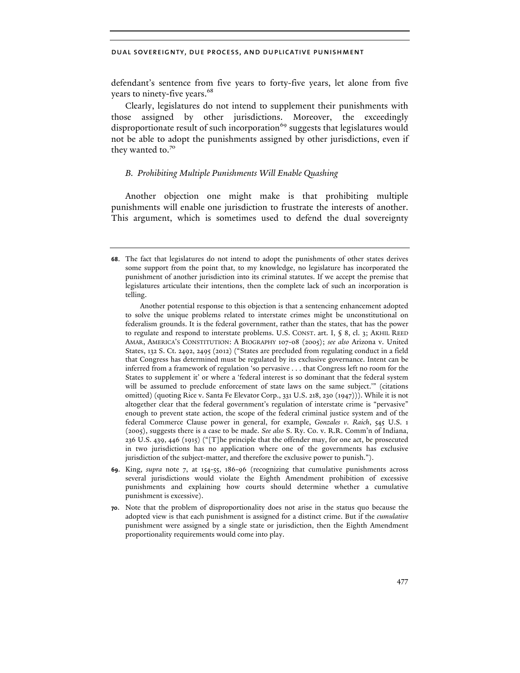defendant's sentence from five years to forty-five years, let alone from five years to ninety-five years.<sup>68</sup>

Clearly, legislatures do not intend to supplement their punishments with those assigned by other jurisdictions. Moreover, the exceedingly disproportionate result of such incorporation<sup>69</sup> suggests that legislatures would not be able to adopt the punishments assigned by other jurisdictions, even if they wanted to.<sup>70</sup>

## *B. Prohibiting Multiple Punishments Will Enable Quashing*

Another objection one might make is that prohibiting multiple punishments will enable one jurisdiction to frustrate the interests of another. This argument, which is sometimes used to defend the dual sovereignty

**<sup>68</sup>**. The fact that legislatures do not intend to adopt the punishments of other states derives some support from the point that, to my knowledge, no legislature has incorporated the punishment of another jurisdiction into its criminal statutes. If we accept the premise that legislatures articulate their intentions, then the complete lack of such an incorporation is telling.

Another potential response to this objection is that a sentencing enhancement adopted to solve the unique problems related to interstate crimes might be unconstitutional on federalism grounds. It is the federal government, rather than the states, that has the power to regulate and respond to interstate problems. U.S. CONST. art. I, § 8, cl. 3; AKHIL REED AMAR, AMERICA'S CONSTITUTION: A BIOGRAPHY 107-08 (2005); *see also* Arizona v. United States, 132 S. Ct. 2492, 2495 (2012) ("States are precluded from regulating conduct in a field that Congress has determined must be regulated by its exclusive governance. Intent can be inferred from a framework of regulation 'so pervasive . . . that Congress left no room for the States to supplement it' or where a 'federal interest is so dominant that the federal system will be assumed to preclude enforcement of state laws on the same subject.'" (citations omitted) (quoting Rice v. Santa Fe Elevator Corp., 331 U.S. 218, 230 (1947))). While it is not altogether clear that the federal government's regulation of interstate crime is "pervasive" enough to prevent state action, the scope of the federal criminal justice system and of the federal Commerce Clause power in general, for example, *Gonzales v. Raich*, 545 U.S. 1 (2005), suggests there is a case to be made. *See also* S. Ry. Co. v. R.R. Comm'n of Indiana, 236 U.S. 439, 446 (1915) ("[T]he principle that the offender may, for one act, be prosecuted in two jurisdictions has no application where one of the governments has exclusive jurisdiction of the subject-matter, and therefore the exclusive power to punish.").

**<sup>69</sup>**. King, *supra* note 7, at 154-55, 186-96 (recognizing that cumulative punishments across several jurisdictions would violate the Eighth Amendment prohibition of excessive punishments and explaining how courts should determine whether a cumulative punishment is excessive).

**<sup>70</sup>**. Note that the problem of disproportionality does not arise in the status quo because the adopted view is that each punishment is assigned for a distinct crime. But if the *cumulative*  punishment were assigned by a single state or jurisdiction, then the Eighth Amendment proportionality requirements would come into play.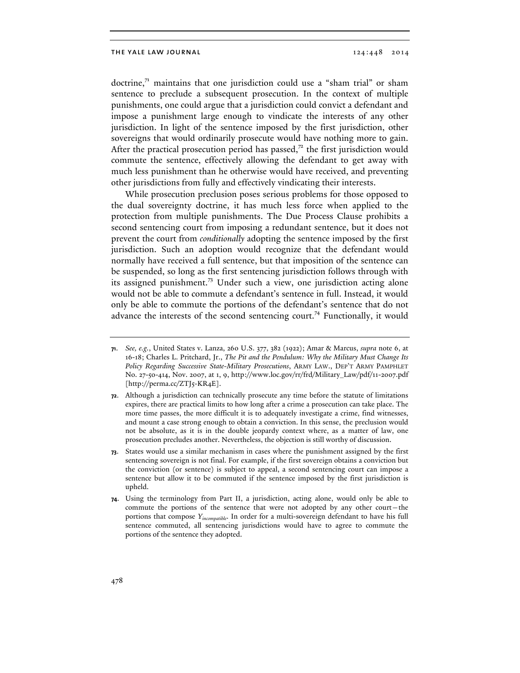doctrine, $7<sup>1</sup>$  maintains that one jurisdiction could use a "sham trial" or sham sentence to preclude a subsequent prosecution. In the context of multiple punishments, one could argue that a jurisdiction could convict a defendant and impose a punishment large enough to vindicate the interests of any other jurisdiction. In light of the sentence imposed by the first jurisdiction, other sovereigns that would ordinarily prosecute would have nothing more to gain. After the practical prosecution period has passed, $7<sup>2</sup>$  the first jurisdiction would commute the sentence, effectively allowing the defendant to get away with much less punishment than he otherwise would have received, and preventing other jurisdictions from fully and effectively vindicating their interests.

While prosecution preclusion poses serious problems for those opposed to the dual sovereignty doctrine, it has much less force when applied to the protection from multiple punishments. The Due Process Clause prohibits a second sentencing court from imposing a redundant sentence, but it does not prevent the court from *conditionally* adopting the sentence imposed by the first jurisdiction. Such an adoption would recognize that the defendant would normally have received a full sentence, but that imposition of the sentence can be suspended, so long as the first sentencing jurisdiction follows through with its assigned punishment.<sup>73</sup> Under such a view, one jurisdiction acting alone would not be able to commute a defendant's sentence in full. Instead, it would only be able to commute the portions of the defendant's sentence that do not advance the interests of the second sentencing court.<sup>74</sup> Functionally, it would

**<sup>71</sup>**. *See, e.g.*, United States v. Lanza, 260 U.S. 377, 382 (1922); Amar & Marcus, *supra* note 6, at 16-18; Charles L. Pritchard, Jr., *The Pit and the Pendulum: Why the Military Must Change Its Policy Regarding Successive State-Military Prosecutions*, ARMY LAW., DEP'T ARMY PAMPHLET No. 27-50-414, Nov. 2007, at 1, 9, http://www.loc.gov/rr/frd/Military\_Law/pdf/11-2007.pdf [http://perma.cc/ZTJ5-KR4E].

**<sup>72</sup>**. Although a jurisdiction can technically prosecute any time before the statute of limitations expires, there are practical limits to how long after a crime a prosecution can take place. The more time passes, the more difficult it is to adequately investigate a crime, find witnesses, and mount a case strong enough to obtain a conviction. In this sense, the preclusion would not be absolute, as it is in the double jeopardy context where, as a matter of law, one prosecution precludes another. Nevertheless, the objection is still worthy of discussion.

**<sup>73</sup>**. States would use a similar mechanism in cases where the punishment assigned by the first sentencing sovereign is not final. For example, if the first sovereign obtains a conviction but the conviction (or sentence) is subject to appeal, a second sentencing court can impose a sentence but allow it to be commuted if the sentence imposed by the first jurisdiction is upheld.

**<sup>74</sup>**. Using the terminology from Part II, a jurisdiction, acting alone, would only be able to commute the portions of the sentence that were not adopted by any other court—the portions that compose *Yincompatible*. In order for a multi-sovereign defendant to have his full sentence commuted, all sentencing jurisdictions would have to agree to commute the portions of the sentence they adopted.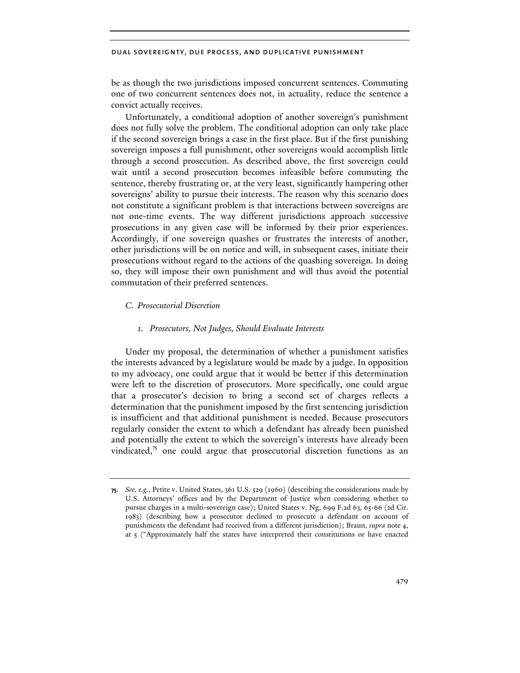be as though the two jurisdictions imposed concurrent sentences. Commuting one of two concurrent sentences does not, in actuality, reduce the sentence a convict actually receives.

Unfortunately, a conditional adoption of another sovereign's punishment does not fully solve the problem. The conditional adoption can only take place if the second sovereign brings a case in the first place. But if the first punishing sovereign imposes a full punishment, other sovereigns would accomplish little through a second prosecution. As described above, the first sovereign could wait until a second prosecution becomes infeasible before commuting the sentence, thereby frustrating or, at the very least, significantly hampering other sovereigns' ability to pursue their interests. The reason why this scenario does not constitute a significant problem is that interactions between sovereigns are not one-time events. The way different jurisdictions approach successive prosecutions in any given case will be informed by their prior experiences. Accordingly, if one sovereign quashes or frustrates the interests of another, other jurisdictions will be on notice and will, in subsequent cases, initiate their prosecutions without regard to the actions of the quashing sovereign. In doing so, they will impose their own punishment and will thus avoid the potential commutation of their preferred sentences.

## *C. Prosecutorial Discretion*

#### *1. Prosecutors, Not Judges, Should Evaluate Interests*

Under my proposal, the determination of whether a punishment satisfies the interests advanced by a legislature would be made by a judge. In opposition to my advocacy, one could argue that it would be better if this determination were left to the discretion of prosecutors. More specifically, one could argue that a prosecutor's decision to bring a second set of charges reflects a determination that the punishment imposed by the first sentencing jurisdiction is insufficient and that additional punishment is needed. Because prosecutors regularly consider the extent to which a defendant has already been punished and potentially the extent to which the sovereign's interests have already been vindicated, $7<sup>5</sup>$  one could argue that prosecutorial discretion functions as an

**<sup>75</sup>**. *See, e.g.*, Petite v. United States, 361 U.S. 529 (1960) (describing the considerations made by U.S. Attorneys' offices and by the Department of Justice when considering whether to pursue charges in a multi-sovereign case); United States v. Ng, 699 F.2d 63, 65-66 (2d Cir. 1983) (describing how a prosecutor declined to prosecute a defendant on account of punishments the defendant had received from a different jurisdiction); Braun, *supra* note 4, at 5 ("Approximately half the states have interpreted their constitutions or have enacted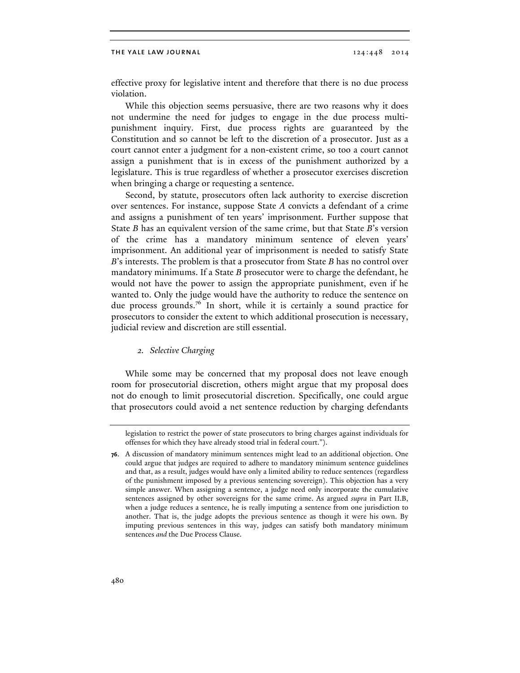effective proxy for legislative intent and therefore that there is no due process violation.

While this objection seems persuasive, there are two reasons why it does not undermine the need for judges to engage in the due process multipunishment inquiry. First, due process rights are guaranteed by the Constitution and so cannot be left to the discretion of a prosecutor. Just as a court cannot enter a judgment for a non-existent crime, so too a court cannot assign a punishment that is in excess of the punishment authorized by a legislature. This is true regardless of whether a prosecutor exercises discretion when bringing a charge or requesting a sentence.

Second, by statute, prosecutors often lack authority to exercise discretion over sentences. For instance, suppose State *A* convicts a defendant of a crime and assigns a punishment of ten years' imprisonment. Further suppose that State *B* has an equivalent version of the same crime, but that State *B*'s version of the crime has a mandatory minimum sentence of eleven years' imprisonment. An additional year of imprisonment is needed to satisfy State *B*'s interests. The problem is that a prosecutor from State *B* has no control over mandatory minimums. If a State *B* prosecutor were to charge the defendant, he would not have the power to assign the appropriate punishment, even if he wanted to. Only the judge would have the authority to reduce the sentence on due process grounds.<sup>76</sup> In short, while it is certainly a sound practice for prosecutors to consider the extent to which additional prosecution is necessary, judicial review and discretion are still essential.

#### *2. Selective Charging*

While some may be concerned that my proposal does not leave enough room for prosecutorial discretion, others might argue that my proposal does not do enough to limit prosecutorial discretion. Specifically, one could argue that prosecutors could avoid a net sentence reduction by charging defendants

legislation to restrict the power of state prosecutors to bring charges against individuals for offenses for which they have already stood trial in federal court.").

**<sup>76</sup>**. A discussion of mandatory minimum sentences might lead to an additional objection. One could argue that judges are required to adhere to mandatory minimum sentence guidelines and that, as a result, judges would have only a limited ability to reduce sentences (regardless of the punishment imposed by a previous sentencing sovereign). This objection has a very simple answer. When assigning a sentence, a judge need only incorporate the cumulative sentences assigned by other sovereigns for the same crime. As argued *supra* in Part II.B, when a judge reduces a sentence, he is really imputing a sentence from one jurisdiction to another. That is, the judge adopts the previous sentence as though it were his own. By imputing previous sentences in this way, judges can satisfy both mandatory minimum sentences *and* the Due Process Clause.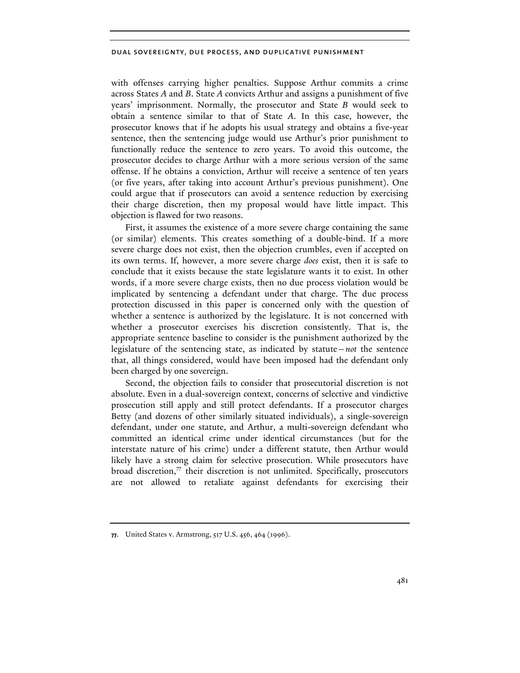with offenses carrying higher penalties. Suppose Arthur commits a crime across States *A* and *B*. State *A* convicts Arthur and assigns a punishment of five years' imprisonment. Normally, the prosecutor and State *B* would seek to obtain a sentence similar to that of State *A*. In this case, however, the prosecutor knows that if he adopts his usual strategy and obtains a five-year sentence, then the sentencing judge would use Arthur's prior punishment to functionally reduce the sentence to zero years. To avoid this outcome, the prosecutor decides to charge Arthur with a more serious version of the same offense. If he obtains a conviction, Arthur will receive a sentence of ten years (or five years, after taking into account Arthur's previous punishment). One could argue that if prosecutors can avoid a sentence reduction by exercising their charge discretion, then my proposal would have little impact. This objection is flawed for two reasons.

First, it assumes the existence of a more severe charge containing the same (or similar) elements. This creates something of a double-bind. If a more severe charge does not exist, then the objection crumbles, even if accepted on its own terms. If, however, a more severe charge *does* exist, then it is safe to conclude that it exists because the state legislature wants it to exist. In other words, if a more severe charge exists, then no due process violation would be implicated by sentencing a defendant under that charge. The due process protection discussed in this paper is concerned only with the question of whether a sentence is authorized by the legislature. It is not concerned with whether a prosecutor exercises his discretion consistently. That is, the appropriate sentence baseline to consider is the punishment authorized by the legislature of the sentencing state, as indicated by statute—*not* the sentence that, all things considered, would have been imposed had the defendant only been charged by one sovereign.

Second, the objection fails to consider that prosecutorial discretion is not absolute. Even in a dual-sovereign context, concerns of selective and vindictive prosecution still apply and still protect defendants. If a prosecutor charges Betty (and dozens of other similarly situated individuals), a single-sovereign defendant, under one statute, and Arthur, a multi-sovereign defendant who committed an identical crime under identical circumstances (but for the interstate nature of his crime) under a different statute, then Arthur would likely have a strong claim for selective prosecution. While prosecutors have broad discretion, $\frac{7}{7}$  their discretion is not unlimited. Specifically, prosecutors are not allowed to retaliate against defendants for exercising their

**<sup>77.</sup>** United States v. Armstrong, 517 U.S. 456, 464 (1996).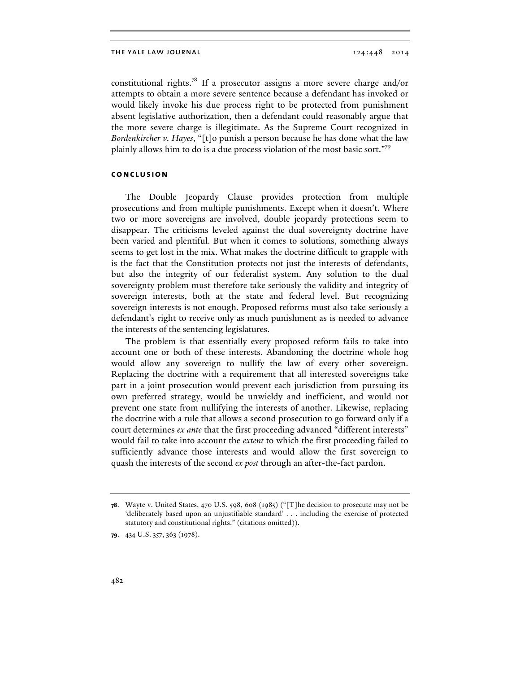constitutional rights.78 If a prosecutor assigns a more severe charge and/or attempts to obtain a more severe sentence because a defendant has invoked or would likely invoke his due process right to be protected from punishment absent legislative authorization, then a defendant could reasonably argue that the more severe charge is illegitimate. As the Supreme Court recognized in *Bordenkircher v. Hayes*, "[t]o punish a person because he has done what the law plainly allows him to do is a due process violation of the most basic sort."79

## **conclusion**

The Double Jeopardy Clause provides protection from multiple prosecutions and from multiple punishments. Except when it doesn't. Where two or more sovereigns are involved, double jeopardy protections seem to disappear. The criticisms leveled against the dual sovereignty doctrine have been varied and plentiful. But when it comes to solutions, something always seems to get lost in the mix. What makes the doctrine difficult to grapple with is the fact that the Constitution protects not just the interests of defendants, but also the integrity of our federalist system. Any solution to the dual sovereignty problem must therefore take seriously the validity and integrity of sovereign interests, both at the state and federal level. But recognizing sovereign interests is not enough. Proposed reforms must also take seriously a defendant's right to receive only as much punishment as is needed to advance the interests of the sentencing legislatures.

The problem is that essentially every proposed reform fails to take into account one or both of these interests. Abandoning the doctrine whole hog would allow any sovereign to nullify the law of every other sovereign. Replacing the doctrine with a requirement that all interested sovereigns take part in a joint prosecution would prevent each jurisdiction from pursuing its own preferred strategy, would be unwieldy and inefficient, and would not prevent one state from nullifying the interests of another. Likewise, replacing the doctrine with a rule that allows a second prosecution to go forward only if a court determines *ex ante* that the first proceeding advanced "different interests" would fail to take into account the *extent* to which the first proceeding failed to sufficiently advance those interests and would allow the first sovereign to quash the interests of the second *ex post* through an after-the-fact pardon.

**<sup>78</sup>**. Wayte v. United States, 470 U.S. 598, 608 (1985) ("[T]he decision to prosecute may not be 'deliberately based upon an unjustifiable standard' . . . including the exercise of protected statutory and constitutional rights." (citations omitted)).

**<sup>79</sup>**. 434 U.S. 357, 363 (1978).